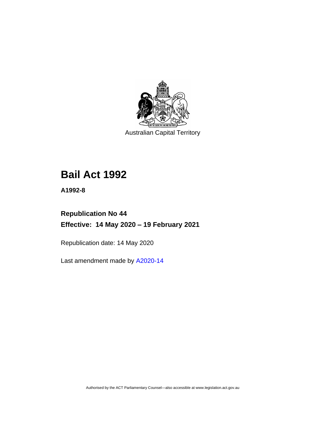

Australian Capital Territory

# **Bail Act 1992**

**A1992-8**

# **Republication No 44 Effective: 14 May 2020 – 19 February 2021**

Republication date: 14 May 2020

Last amendment made by [A2020-14](http://www.legislation.act.gov.au/a/2020-14/)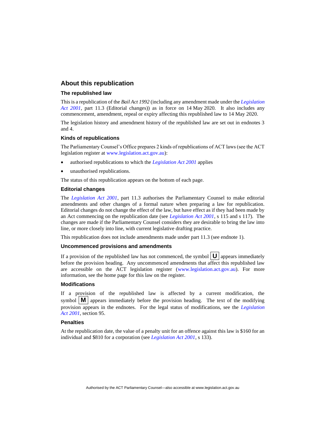#### **About this republication**

#### **The republished law**

This is a republication of the *Bail Act 1992* (including any amendment made under the *[Legislation](http://www.legislation.act.gov.au/a/2001-14)  [Act 2001](http://www.legislation.act.gov.au/a/2001-14)*, part 11.3 (Editorial changes)) as in force on 14 May 2020*.* It also includes any commencement, amendment, repeal or expiry affecting this republished law to 14 May 2020.

The legislation history and amendment history of the republished law are set out in endnotes 3 and 4.

#### **Kinds of republications**

The Parliamentary Counsel's Office prepares 2 kinds of republications of ACT laws (see the ACT legislation register at [www.legislation.act.gov.au\)](http://www.legislation.act.gov.au/):

- authorised republications to which the *[Legislation Act 2001](http://www.legislation.act.gov.au/a/2001-14)* applies
- unauthorised republications.

The status of this republication appears on the bottom of each page.

#### **Editorial changes**

The *[Legislation Act 2001](http://www.legislation.act.gov.au/a/2001-14)*, part 11.3 authorises the Parliamentary Counsel to make editorial amendments and other changes of a formal nature when preparing a law for republication. Editorial changes do not change the effect of the law, but have effect as if they had been made by an Act commencing on the republication date (see *[Legislation Act 2001](http://www.legislation.act.gov.au/a/2001-14)*, s 115 and s 117). The changes are made if the Parliamentary Counsel considers they are desirable to bring the law into line, or more closely into line, with current legislative drafting practice.

This republication does not include amendments made under part 11.3 (see endnote 1).

#### **Uncommenced provisions and amendments**

If a provision of the republished law has not commenced, the symbol  $\mathbf{U}$  appears immediately before the provision heading. Any uncommenced amendments that affect this republished law are accessible on the ACT legislation register [\(www.legislation.act.gov.au\)](http://www.legislation.act.gov.au/). For more information, see the home page for this law on the register.

#### **Modifications**

If a provision of the republished law is affected by a current modification, the symbol  $\mathbf{M}$  appears immediately before the provision heading. The text of the modifying provision appears in the endnotes. For the legal status of modifications, see the *[Legislation](http://www.legislation.act.gov.au/a/2001-14)  Act [2001](http://www.legislation.act.gov.au/a/2001-14)*, section 95.

#### **Penalties**

At the republication date, the value of a penalty unit for an offence against this law is \$160 for an individual and \$810 for a corporation (see *[Legislation Act 2001](http://www.legislation.act.gov.au/a/2001-14)*, s 133).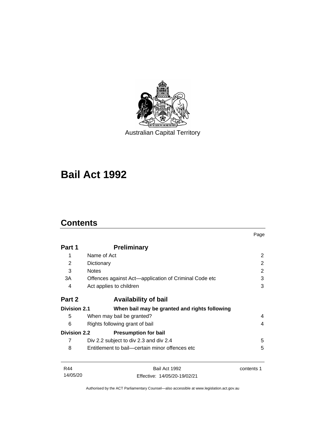

Australian Capital Territory

# **Bail Act 1992**

# **Contents**

|                     |                                                       | Page       |
|---------------------|-------------------------------------------------------|------------|
| Part 1              | <b>Preliminary</b>                                    |            |
| 1                   | Name of Act                                           | 2          |
| 2                   | Dictionary                                            | 2          |
| 3                   | <b>Notes</b>                                          | 2          |
| 3A                  | Offences against Act—application of Criminal Code etc | 3          |
| 4                   | Act applies to children                               | 3          |
| Part 2              | <b>Availability of bail</b>                           |            |
| <b>Division 2.1</b> | When bail may be granted and rights following         |            |
| 5                   | When may bail be granted?                             | 4          |
| 6                   | Rights following grant of bail                        |            |
| <b>Division 2.2</b> | <b>Presumption for bail</b>                           |            |
| 7                   | Div 2.2 subject to div 2.3 and div 2.4                | 5          |
| 8                   | Entitlement to bail—certain minor offences etc        | 5          |
| R44                 | Bail Act 1992                                         | contents 1 |
| 14/05/20            | Effective: 14/05/20-19/02/21                          |            |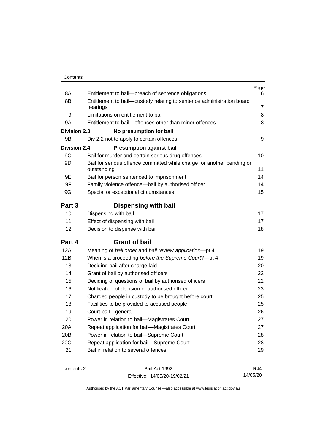| Contents |
|----------|
|----------|

| 8A                  | Entitlement to bail-breach of sentence obligations                                           | Page<br>6      |
|---------------------|----------------------------------------------------------------------------------------------|----------------|
| 8B                  | Entitlement to bail-custody relating to sentence administration board                        |                |
|                     | hearings                                                                                     | $\overline{7}$ |
| 9                   | Limitations on entitlement to bail<br>Entitlement to bail-offences other than minor offences | 8<br>8         |
| 9A                  |                                                                                              |                |
| <b>Division 2.3</b> | No presumption for bail                                                                      |                |
| 9B                  | Div 2.2 not to apply to certain offences                                                     | 9              |
| <b>Division 2.4</b> | <b>Presumption against bail</b>                                                              |                |
| 9C                  | Bail for murder and certain serious drug offences                                            | 10             |
| 9D                  | Bail for serious offence committed while charge for another pending or<br>outstanding        | 11             |
| 9E                  | Bail for person sentenced to imprisonment                                                    | 14             |
| 9F                  | Family violence offence-bail by authorised officer                                           | 14             |
| 9G                  | Special or exceptional circumstances                                                         | 15             |
|                     |                                                                                              |                |
| Part 3              | <b>Dispensing with bail</b>                                                                  |                |
| 10                  | Dispensing with bail                                                                         | 17             |
| 11                  | Effect of dispensing with bail                                                               | 17             |
| 12                  | Decision to dispense with bail                                                               | 18             |
| Part 4              | <b>Grant of bail</b>                                                                         |                |
| 12A                 | Meaning of bail order and bail review application-pt 4                                       | 19             |
| 12B                 | When is a proceeding before the Supreme Court?-pt 4                                          | 19             |
| 13                  | Deciding bail after charge laid                                                              | 20             |
| 14                  | Grant of bail by authorised officers                                                         | 22             |
| 15                  | Deciding of questions of bail by authorised officers                                         | 22             |
| 16                  | Notification of decision of authorised officer                                               | 23             |
| 17                  | Charged people in custody to be brought before court                                         | 25             |
| 18                  | Facilities to be provided to accused people                                                  | 25             |
| 19                  | Court bail-general                                                                           | 26             |
| 20                  | Power in relation to bail-Magistrates Court                                                  | 27             |
| 20A                 | Repeat application for bail-Magistrates Court                                                | 27             |
| 20B                 | Power in relation to bail-Supreme Court                                                      | 28             |
| 20C                 | Repeat application for bail-Supreme Court                                                    | 28             |
| 21                  | Bail in relation to several offences                                                         | 29             |
|                     |                                                                                              |                |

contents 2 Bail Act 1992 Effective: 14/05/20-19/02/21

R44 14/05/20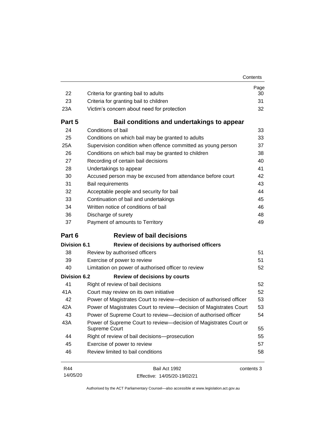| Contents |
|----------|
|----------|

| 22                  | Criteria for granting bail to adults                                               | Page<br>30 |
|---------------------|------------------------------------------------------------------------------------|------------|
| 23                  | Criteria for granting bail to children                                             | 31         |
| 23A                 | Victim's concern about need for protection                                         | 32         |
| Part 5              | Bail conditions and undertakings to appear                                         |            |
| 24                  | Conditions of bail                                                                 | 33         |
| 25                  | Conditions on which bail may be granted to adults                                  | 33         |
| 25A                 | Supervision condition when offence committed as young person                       | 37         |
| 26                  | Conditions on which bail may be granted to children                                | 38         |
| 27                  | Recording of certain bail decisions                                                | 40         |
| 28                  | Undertakings to appear                                                             | 41         |
| 30                  | Accused person may be excused from attendance before court                         | 42         |
| 31                  | Bail requirements                                                                  | 43         |
| 32                  | Acceptable people and security for bail                                            | 44         |
| 33                  | Continuation of bail and undertakings                                              | 45         |
| 34                  | Written notice of conditions of bail                                               | 46         |
| 36                  | Discharge of surety                                                                | 48         |
| 37                  | Payment of amounts to Territory                                                    | 49         |
| Part 6              | <b>Review of bail decisions</b>                                                    |            |
| <b>Division 6.1</b> | Review of decisions by authorised officers                                         |            |
| 38                  | Review by authorised officers                                                      | 51         |
| 39                  | Exercise of power to review                                                        | 51         |
| 40                  | Limitation on power of authorised officer to review                                | 52         |
| <b>Division 6.2</b> | <b>Review of decisions by courts</b>                                               |            |
| 41                  | Right of review of bail decisions                                                  | 52         |
| 41A                 | Court may review on its own initiative                                             | 52         |
| 42                  | Power of Magistrates Court to review-decision of authorised officer                | 53         |
| 42A                 | Power of Magistrates Court to review-decision of Magistrates Court                 | 53         |
| 43                  | Power of Supreme Court to review-decision of authorised officer                    | 54         |
| 43A                 | Power of Supreme Court to review—decision of Magistrates Court or<br>Supreme Court | 55         |
| 44                  |                                                                                    |            |
|                     |                                                                                    | 55         |
| 45                  | Right of review of bail decisions-prosecution                                      | 57         |
| 46                  | Exercise of power to review<br>Review limited to bail conditions                   | 58         |

14/05/20 Effective: 14/05/20-19/02/21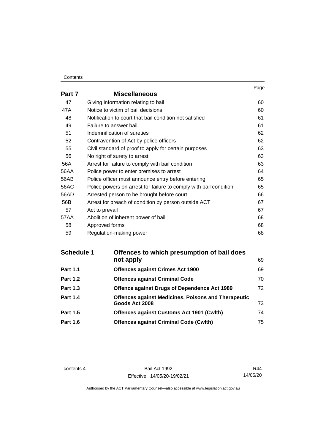#### **Contents**

|        |                                                                   | Page |
|--------|-------------------------------------------------------------------|------|
| Part 7 | <b>Miscellaneous</b>                                              |      |
| 47     | Giving information relating to bail                               | 60   |
| 47A    | Notice to victim of bail decisions                                | 60   |
| 48     | Notification to court that bail condition not satisfied           | 61   |
| 49     | Failure to answer bail                                            | 61   |
| 51     | Indemnification of sureties                                       | 62   |
| 52     | Contravention of Act by police officers                           | 62   |
| 55     | Civil standard of proof to apply for certain purposes             | 63   |
| 56     | No right of surety to arrest                                      | 63   |
| 56A    | Arrest for failure to comply with bail condition                  | 63   |
| 56AA   | Police power to enter premises to arrest                          | 64   |
| 56AB   | Police officer must announce entry before entering                | 65   |
| 56AC   | Police powers on arrest for failure to comply with bail condition | 65   |
| 56AD   | Arrested person to be brought before court                        | 66   |
| 56B    | Arrest for breach of condition by person outside ACT              | 67   |
| 57     | Act to prevail                                                    | 67   |
| 57AA   | Abolition of inherent power of bail                               | 68   |
| 58     | Approved forms                                                    | 68   |
| 59     | Regulation-making power                                           | 68   |

| <b>Schedule 1</b> | Offences to which presumption of bail does                 |    |
|-------------------|------------------------------------------------------------|----|
|                   | not apply                                                  | 69 |
| <b>Part 1.1</b>   | <b>Offences against Crimes Act 1900</b>                    | 69 |
| <b>Part 1.2</b>   | <b>Offences against Criminal Code</b>                      | 70 |
| <b>Part 1.3</b>   | Offence against Drugs of Dependence Act 1989               | 72 |
| <b>Part 1.4</b>   | <b>Offences against Medicines, Poisons and Therapeutic</b> |    |
|                   | Goods Act 2008                                             | 73 |
| <b>Part 1.5</b>   | <b>Offences against Customs Act 1901 (Cwlth)</b>           | 74 |
| <b>Part 1.6</b>   | <b>Offences against Criminal Code (Cwlth)</b>              | 75 |

contents 4 Bail Act 1992 Effective: 14/05/20-19/02/21

R44 14/05/20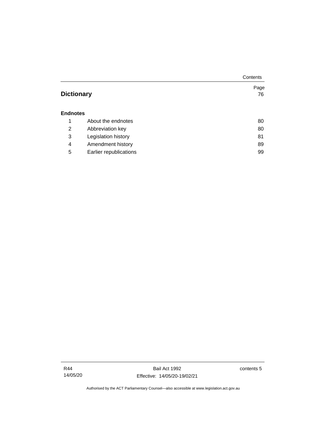|                   |                        | Contents |
|-------------------|------------------------|----------|
|                   |                        | Page     |
| <b>Dictionary</b> |                        | 76       |
|                   |                        |          |
| <b>Endnotes</b>   |                        |          |
| 1                 | About the endnotes     | 80       |
| 2                 | Abbreviation key       | 80       |
| 3                 | Legislation history    | 81       |
| 4                 | Amendment history      | 89       |
| 5                 | Earlier republications | 99       |

Bail Act 1992 Effective: 14/05/20-19/02/21 contents 5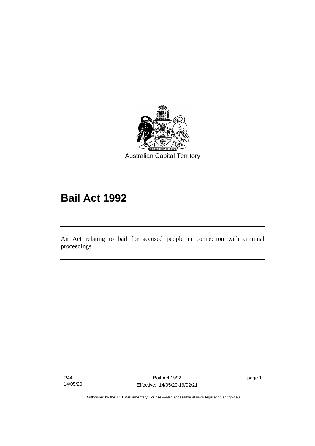

# **Bail Act 1992**

An Act relating to bail for accused people in connection with criminal proceedings

R44 14/05/20

ׅ֖֖֚֚֡֡֬֝֬

page 1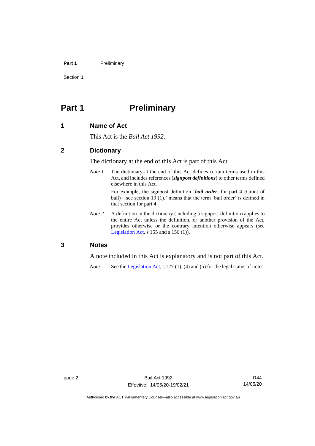#### Part 1 Preliminary

Section 1

# <span id="page-9-0"></span>**Part 1 Preliminary**

#### <span id="page-9-1"></span>**1 Name of Act**

This Act is the *Bail Act 1992*.

#### <span id="page-9-2"></span>**2 Dictionary**

The dictionary at the end of this Act is part of this Act.

*Note 1* The dictionary at the end of this Act defines certain terms used in this Act, and includes references (*signpost definitions*) to other terms defined elsewhere in this Act.

> For example, the signpost definition '*bail order*, for part 4 (Grant of bail)—see section 19 (1).' means that the term 'bail order' is defined in that section for part 4.

*Note 2* A definition in the dictionary (including a signpost definition) applies to the entire Act unless the definition, or another provision of the Act, provides otherwise or the contrary intention otherwise appears (see [Legislation Act,](http://www.legislation.act.gov.au/a/2001-14) s  $155$  and s  $156$  (1)).

#### <span id="page-9-3"></span>**3 Notes**

A note included in this Act is explanatory and is not part of this Act.

*Note* See the [Legislation Act,](http://www.legislation.act.gov.au/a/2001-14) s 127 (1), (4) and (5) for the legal status of notes.

R44 14/05/20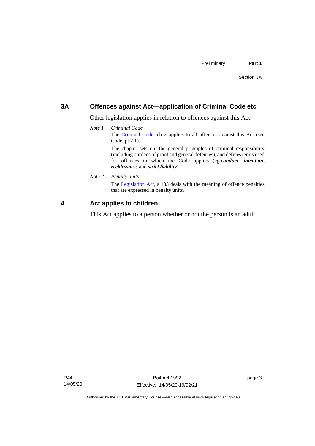#### <span id="page-10-0"></span>**3A Offences against Act—application of Criminal Code etc**

Other legislation applies in relation to offences against this Act.

*Note 1 Criminal Code* The [Criminal Code,](http://www.legislation.act.gov.au/a/2002-51) ch 2 applies to all offences against this Act (see Code, pt 2.1). The chapter sets out the general principles of criminal responsibility

(including burdens of proof and general defences), and defines terms used for offences to which the Code applies (eg *conduct*, *intention*, *recklessness* and *strict liability*).

*Note 2 Penalty units*

The [Legislation Act,](http://www.legislation.act.gov.au/a/2001-14) s 133 deals with the meaning of offence penalties that are expressed in penalty units.

### <span id="page-10-1"></span>**4 Act applies to children**

This Act applies to a person whether or not the person is an adult.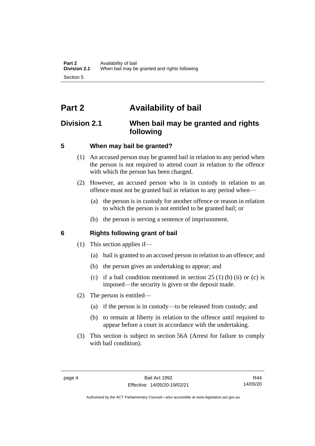# <span id="page-11-0"></span>**Part 2 Availability of bail**

## <span id="page-11-1"></span>**Division 2.1 When bail may be granted and rights following**

## <span id="page-11-2"></span>**5 When may bail be granted?**

- (1) An accused person may be granted bail in relation to any period when the person is not required to attend court in relation to the offence with which the person has been charged.
- (2) However, an accused person who is in custody in relation to an offence must not be granted bail in relation to any period when—
	- (a) the person is in custody for another offence or reason in relation to which the person is not entitled to be granted bail; or
	- (b) the person is serving a sentence of imprisonment.

## <span id="page-11-3"></span>**6 Rights following grant of bail**

- (1) This section applies if—
	- (a) bail is granted to an accused person in relation to an offence; and
	- (b) the person gives an undertaking to appear; and
	- (c) if a bail condition mentioned in section  $25(1)$  (b) (ii) or (c) is imposed—the security is given or the deposit made.
- (2) The person is entitled—
	- (a) if the person is in custody—to be released from custody; and
	- (b) to remain at liberty in relation to the offence until required to appear before a court in accordance with the undertaking.
- (3) This section is subject to section 56A (Arrest for failure to comply with bail condition).

R44 14/05/20

Authorised by the ACT Parliamentary Counsel—also accessible at www.legislation.act.gov.au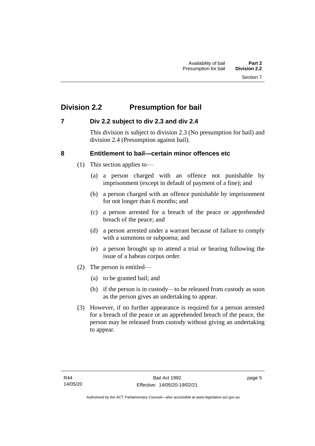# <span id="page-12-0"></span>**Division 2.2 Presumption for bail**

## <span id="page-12-1"></span>**7 Div 2.2 subject to div 2.3 and div 2.4**

This division is subject to division 2.3 (No presumption for bail) and division 2.4 (Presumption against bail).

## <span id="page-12-2"></span>**8 Entitlement to bail—certain minor offences etc**

- (1) This section applies to—
	- (a) a person charged with an offence not punishable by imprisonment (except in default of payment of a fine); and
	- (b) a person charged with an offence punishable by imprisonment for not longer than 6 months; and
	- (c) a person arrested for a breach of the peace or apprehended breach of the peace; and
	- (d) a person arrested under a warrant because of failure to comply with a summons or subpoena; and
	- (e) a person brought up to attend a trial or hearing following the issue of a habeas corpus order.
- (2) The person is entitled—
	- (a) to be granted bail; and
	- (b) if the person is in custody—to be released from custody as soon as the person gives an undertaking to appear.
- (3) However, if no further appearance is required for a person arrested for a breach of the peace or an apprehended breach of the peace, the person may be released from custody without giving an undertaking to appear.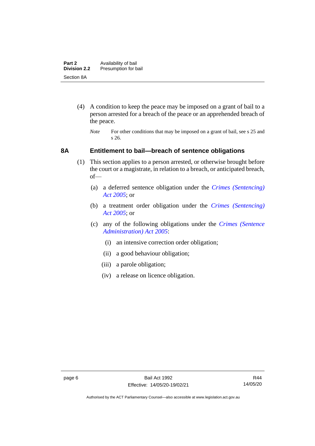- (4) A condition to keep the peace may be imposed on a grant of bail to a person arrested for a breach of the peace or an apprehended breach of the peace.
	- *Note* For other conditions that may be imposed on a grant of bail, see s 25 and s 26.

#### <span id="page-13-0"></span>**8A Entitlement to bail—breach of sentence obligations**

- (1) This section applies to a person arrested, or otherwise brought before the court or a magistrate, in relation to a breach, or anticipated breach, of—
	- (a) a deferred sentence obligation under the *[Crimes \(Sentencing\)](http://www.legislation.act.gov.au/a/2005-58)  [Act 2005](http://www.legislation.act.gov.au/a/2005-58)*; or
	- (b) a treatment order obligation under the *[Crimes \(Sentencing\)](http://www.legislation.act.gov.au/a/2005-58)  Act [2005](http://www.legislation.act.gov.au/a/2005-58)*; or
	- (c) any of the following obligations under the *[Crimes \(Sentence](http://www.legislation.act.gov.au/a/2005-59)  [Administration\) Act 2005](http://www.legislation.act.gov.au/a/2005-59)*:
		- (i) an intensive correction order obligation;
		- (ii) a good behaviour obligation;
		- (iii) a parole obligation;
		- (iv) a release on licence obligation.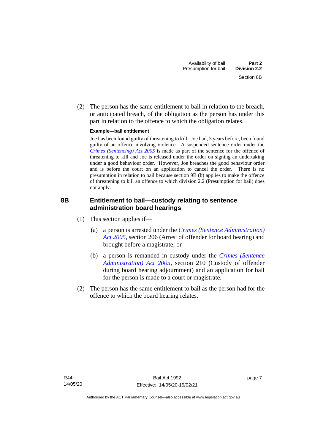(2) The person has the same entitlement to bail in relation to the breach, or anticipated breach, of the obligation as the person has under this part in relation to the offence to which the obligation relates.

#### **Example—bail entitlement**

Joe has been found guilty of threatening to kill. Joe had, 3 years before, been found guilty of an offence involving violence. A suspended sentence order under the *[Crimes \(Sentencing\) Act 2005](http://www.legislation.act.gov.au/a/2005-58)* is made as part of the sentence for the offence of threatening to kill and Joe is released under the order on signing an undertaking under a good behaviour order. However, Joe breaches the good behaviour order and is before the court on an application to cancel the order. There is no presumption in relation to bail because section 9B (b) applies to make the offence of threatening to kill an offence to which division 2.2 (Presumption for bail) does not apply.

## <span id="page-14-0"></span>**8B Entitlement to bail—custody relating to sentence administration board hearings**

- (1) This section applies if—
	- (a) a person is arrested under the *[Crimes \(Sentence Administration\)](http://www.legislation.act.gov.au/a/2005-59)  [Act 2005](http://www.legislation.act.gov.au/a/2005-59)*, section 206 (Arrest of offender for board hearing) and brought before a magistrate; or
	- (b) a person is remanded in custody under the *[Crimes \(Sentence](http://www.legislation.act.gov.au/a/2005-59)  [Administration\) Act 2005](http://www.legislation.act.gov.au/a/2005-59)*, section 210 (Custody of offender during board hearing adjournment) and an application for bail for the person is made to a court or magistrate.
- (2) The person has the same entitlement to bail as the person had for the offence to which the board hearing relates.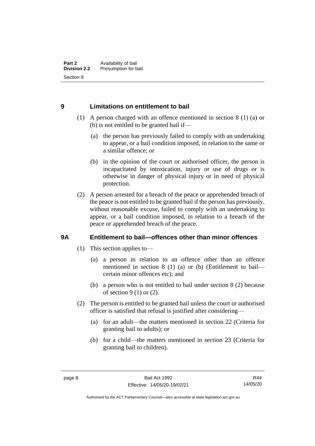## <span id="page-15-0"></span>**9 Limitations on entitlement to bail**

- (1) A person charged with an offence mentioned in section 8 (1) (a) or (b) is not entitled to be granted bail if—
	- (a) the person has previously failed to comply with an undertaking to appear, or a bail condition imposed, in relation to the same or a similar offence; or
	- (b) in the opinion of the court or authorised officer, the person is incapacitated by intoxication, injury or use of drugs or is otherwise in danger of physical injury or in need of physical protection.
- (2) A person arrested for a breach of the peace or apprehended breach of the peace is not entitled to be granted bail if the person has previously, without reasonable excuse, failed to comply with an undertaking to appear, or a bail condition imposed, in relation to a breach of the peace or apprehended breach of the peace.

## <span id="page-15-1"></span>**9A Entitlement to bail—offences other than minor offences**

- (1) This section applies to—
	- (a) a person in relation to an offence other than an offence mentioned in section 8 (1) (a) or (b) (Entitlement to bail certain minor offences etc); and
	- (b) a person who is not entitled to bail under section 8 (2) because of section  $9(1)$  or  $(2)$ .
- (2) The person is entitled to be granted bail unless the court or authorised officer is satisfied that refusal is justified after considering—
	- (a) for an adult—the matters mentioned in section 22 (Criteria for granting bail to adults); or
	- (b) for a child—the matters mentioned in section 23 (Criteria for granting bail to children).

Authorised by the ACT Parliamentary Counsel—also accessible at www.legislation.act.gov.au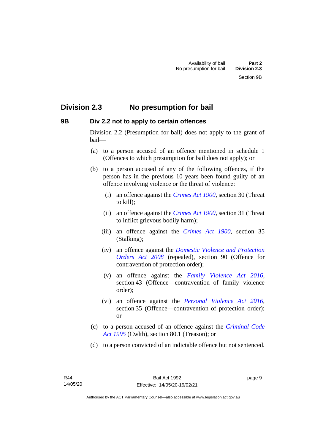## <span id="page-16-0"></span>**Division 2.3 No presumption for bail**

## <span id="page-16-1"></span>**9B Div 2.2 not to apply to certain offences**

Division 2.2 (Presumption for bail) does not apply to the grant of bail—

- (a) to a person accused of an offence mentioned in schedule 1 (Offences to which presumption for bail does not apply); or
- (b) to a person accused of any of the following offences, if the person has in the previous 10 years been found guilty of an offence involving violence or the threat of violence:
	- (i) an offence against the *[Crimes Act 1900](http://www.legislation.act.gov.au/a/1900-40)*, section 30 (Threat to kill);
	- (ii) an offence against the *[Crimes Act 1900](http://www.legislation.act.gov.au/a/1900-40)*, section 31 (Threat to inflict grievous bodily harm);
	- (iii) an offence against the *[Crimes Act 1900](http://www.legislation.act.gov.au/a/1900-40)*, section 35 (Stalking);
	- (iv) an offence against the *[Domestic Violence and Protection](http://www.legislation.act.gov.au/a/2008-46)  [Orders Act 2008](http://www.legislation.act.gov.au/a/2008-46)* (repealed), section 90 (Offence for contravention of protection order);
	- (v) an offence against the *[Family Violence Act 2016](http://www.legislation.act.gov.au/a/2016-42)*, section 43 (Offence—contravention of family violence order);
	- (vi) an offence against the *[Personal Violence Act 2016](http://www.legislation.act.gov.au/a/2016-43)*, section 35 (Offence—contravention of protection order); or
- (c) to a person accused of an offence against the *[Criminal Code](http://www.comlaw.gov.au/Details/C2013C00138)  Act [1995](http://www.comlaw.gov.au/Details/C2013C00138)* (Cwlth), section 80.1 (Treason); or
- (d) to a person convicted of an indictable offence but not sentenced.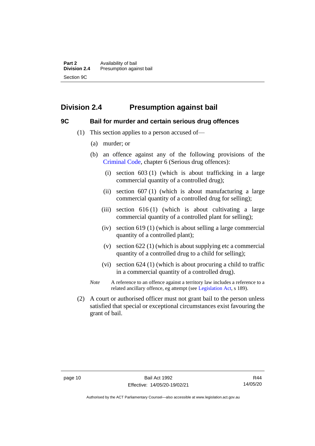## <span id="page-17-0"></span>**Division 2.4 Presumption against bail**

#### <span id="page-17-1"></span>**9C Bail for murder and certain serious drug offences**

- (1) This section applies to a person accused of—
	- (a) murder; or
	- (b) an offence against any of the following provisions of the [Criminal Code,](http://www.legislation.act.gov.au/a/2002-51) chapter 6 (Serious drug offences):
		- (i) section 603 (1) (which is about trafficking in a large commercial quantity of a controlled drug);
		- (ii) section 607 (1) (which is about manufacturing a large commercial quantity of a controlled drug for selling);
		- (iii) section 616 (1) (which is about cultivating a large commercial quantity of a controlled plant for selling);
		- (iv) section 619 (1) (which is about selling a large commercial quantity of a controlled plant);
		- (v) section 622 (1) (which is about supplying etc a commercial quantity of a controlled drug to a child for selling);
		- (vi) section 624 (1) (which is about procuring a child to traffic in a commercial quantity of a controlled drug).
	- *Note* A reference to an offence against a territory law includes a reference to a related ancillary offence, eg attempt (see [Legislation Act,](http://www.legislation.act.gov.au/a/2001-14) s 189).
- (2) A court or authorised officer must not grant bail to the person unless satisfied that special or exceptional circumstances exist favouring the grant of bail.

Authorised by the ACT Parliamentary Counsel—also accessible at www.legislation.act.gov.au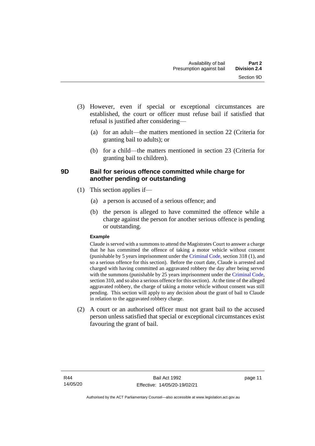- (3) However, even if special or exceptional circumstances are established, the court or officer must refuse bail if satisfied that refusal is justified after considering—
	- (a) for an adult—the matters mentioned in section 22 (Criteria for granting bail to adults); or
	- (b) for a child—the matters mentioned in section 23 (Criteria for granting bail to children).

## <span id="page-18-0"></span>**9D Bail for serious offence committed while charge for another pending or outstanding**

- (1) This section applies if—
	- (a) a person is accused of a serious offence; and
	- (b) the person is alleged to have committed the offence while a charge against the person for another serious offence is pending or outstanding.

#### **Example**

Claude is served with a summons to attend the Magistrates Court to answer a charge that he has committed the offence of taking a motor vehicle without consent (punishable by 5 years imprisonment under the [Criminal Code,](http://www.legislation.act.gov.au/a/2002-51) section 318 (1), and so a serious offence for this section). Before the court date, Claude is arrested and charged with having committed an aggravated robbery the day after being served with the summons (punishable by 25 years imprisonment under the [Criminal Code,](http://www.legislation.act.gov.au/a/2002-51) section 310, and so also a serious offence for this section). At the time of the alleged aggravated robbery, the charge of taking a motor vehicle without consent was still pending. This section will apply to any decision about the grant of bail to Claude in relation to the aggravated robbery charge.

(2) A court or an authorised officer must not grant bail to the accused person unless satisfied that special or exceptional circumstances exist favouring the grant of bail.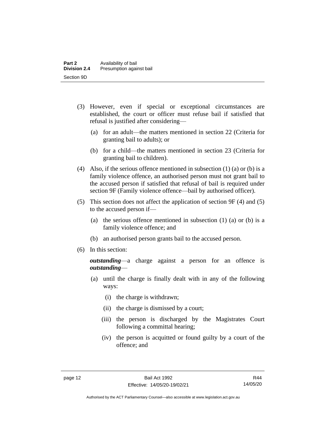- (3) However, even if special or exceptional circumstances are established, the court or officer must refuse bail if satisfied that refusal is justified after considering—
	- (a) for an adult—the matters mentioned in section 22 (Criteria for granting bail to adults); or
	- (b) for a child—the matters mentioned in section 23 (Criteria for granting bail to children).
- (4) Also, if the serious offence mentioned in subsection (1) (a) or (b) is a family violence offence, an authorised person must not grant bail to the accused person if satisfied that refusal of bail is required under section 9F (Family violence offence—bail by authorised officer).
- (5) This section does not affect the application of section 9F (4) and (5) to the accused person if—
	- (a) the serious offence mentioned in subsection (1) (a) or (b) is a family violence offence; and
	- (b) an authorised person grants bail to the accused person.
- (6) In this section:

*outstanding*—a charge against a person for an offence is *outstanding*—

- (a) until the charge is finally dealt with in any of the following ways:
	- (i) the charge is withdrawn;
	- (ii) the charge is dismissed by a court;
	- (iii) the person is discharged by the Magistrates Court following a committal hearing;
	- (iv) the person is acquitted or found guilty by a court of the offence; and

Authorised by the ACT Parliamentary Counsel—also accessible at www.legislation.act.gov.au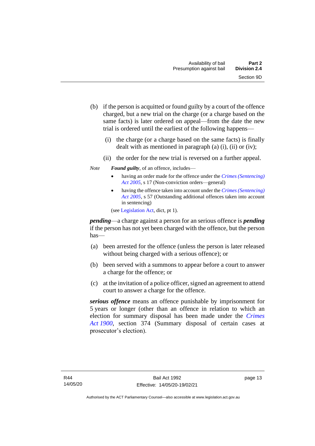- (b) if the person is acquitted or found guilty by a court of the offence charged, but a new trial on the charge (or a charge based on the same facts) is later ordered on appeal—from the date the new trial is ordered until the earliest of the following happens—
	- (i) the charge (or a charge based on the same facts) is finally dealt with as mentioned in paragraph  $(a)$   $(i)$ ,  $(ii)$  or  $(iv)$ ;
	- (ii) the order for the new trial is reversed on a further appeal.
- *Note Found guilty*, of an offence, includes—
	- having an order made for the offence under the *[Crimes \(Sentencing\)](http://www.legislation.act.gov.au/a/2005-58)  [Act 2005](http://www.legislation.act.gov.au/a/2005-58)*, s 17 (Non-conviction orders—general)
	- having the offence taken into account under the *[Crimes \(Sentencing\)](http://www.legislation.act.gov.au/a/2005-58)  [Act 2005](http://www.legislation.act.gov.au/a/2005-58)*, s 57 (Outstanding additional offences taken into account in sentencing)

(se[e Legislation Act,](http://www.legislation.act.gov.au/a/2001-14) dict, pt 1).

*pending*—a charge against a person for an serious offence is *pending*  if the person has not yet been charged with the offence, but the person has—

- (a) been arrested for the offence (unless the person is later released without being charged with a serious offence); or
- (b) been served with a summons to appear before a court to answer a charge for the offence; or
- (c) at the invitation of a police officer, signed an agreement to attend court to answer a charge for the offence.

*serious offence* means an offence punishable by imprisonment for 5 years or longer (other than an offence in relation to which an election for summary disposal has been made under the *[Crimes](http://www.legislation.act.gov.au/a/1900-40)  Act [1900](http://www.legislation.act.gov.au/a/1900-40)*, section 374 (Summary disposal of certain cases at prosecutor's election).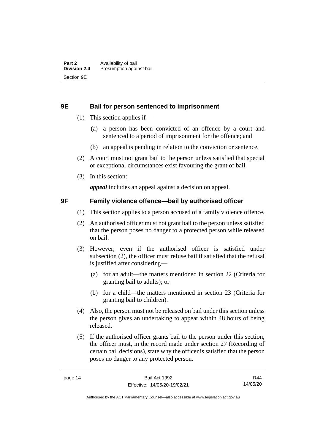#### <span id="page-21-0"></span>**9E Bail for person sentenced to imprisonment**

- (1) This section applies if—
	- (a) a person has been convicted of an offence by a court and sentenced to a period of imprisonment for the offence; and
	- (b) an appeal is pending in relation to the conviction or sentence.
- (2) A court must not grant bail to the person unless satisfied that special or exceptional circumstances exist favouring the grant of bail.
- (3) In this section:

*appeal* includes an appeal against a decision on appeal.

#### <span id="page-21-1"></span>**9F Family violence offence—bail by authorised officer**

- (1) This section applies to a person accused of a family violence offence.
- (2) An authorised officer must not grant bail to the person unless satisfied that the person poses no danger to a protected person while released on bail.
- (3) However, even if the authorised officer is satisfied under subsection (2), the officer must refuse bail if satisfied that the refusal is justified after considering—
	- (a) for an adult—the matters mentioned in section 22 (Criteria for granting bail to adults); or
	- (b) for a child—the matters mentioned in section 23 (Criteria for granting bail to children).
- (4) Also, the person must not be released on bail under this section unless the person gives an undertaking to appear within 48 hours of being released.
- (5) If the authorised officer grants bail to the person under this section, the officer must, in the record made under section 27 (Recording of certain bail decisions), state why the officer is satisfied that the person poses no danger to any protected person.

R44 14/05/20

Authorised by the ACT Parliamentary Counsel—also accessible at www.legislation.act.gov.au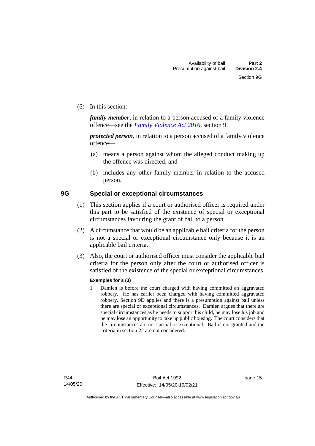(6) In this section:

*family member*, in relation to a person accused of a family violence offence—see the *[Family Violence Act 2016](http://www.legislation.act.gov.au/a/2016-42)*, section 9.

*protected person*, in relation to a person accused of a family violence offence—

- (a) means a person against whom the alleged conduct making up the offence was directed; and
- (b) includes any other family member in relation to the accused person.

#### <span id="page-22-0"></span>**9G Special or exceptional circumstances**

- (1) This section applies if a court or authorised officer is required under this part to be satisfied of the existence of special or exceptional circumstances favouring the grant of bail to a person.
- (2) A circumstance that would be an applicable bail criteria for the person is not a special or exceptional circumstance only because it is an applicable bail criteria.
- (3) Also, the court or authorised officer must consider the applicable bail criteria for the person only after the court or authorised officer is satisfied of the existence of the special or exceptional circumstances.

#### **Examples for s (3)**

1 Damien is before the court charged with having committed an aggravated robbery. He has earlier been charged with having committed aggravated robbery. Section 9D applies and there is a presumption against bail unless there are special or exceptional circumstances. Damien argues that there are special circumstances as he needs to support his child, he may lose his job and he may lose an opportunity to take up public housing. The court considers that the circumstances are not special or exceptional. Bail is not granted and the criteria in section 22 are not considered.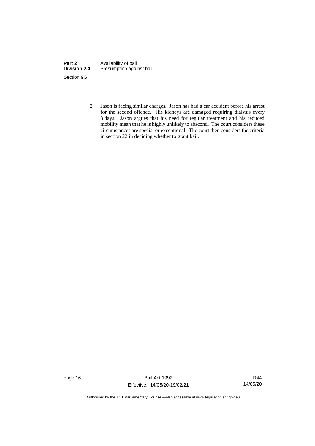| Part 2              | Availability of bail     |
|---------------------|--------------------------|
| <b>Division 2.4</b> | Presumption against bail |
| Section 9G          |                          |

2 Jason is facing similar charges. Jason has had a car accident before his arrest for the second offence. His kidneys are damaged requiring dialysis every 3 days. Jason argues that his need for regular treatment and his reduced mobility mean that he is highly unlikely to abscond. The court considers these circumstances are special or exceptional. The court then considers the criteria in section 22 in deciding whether to grant bail.

page 16 Bail Act 1992 Effective: 14/05/20-19/02/21

R44 14/05/20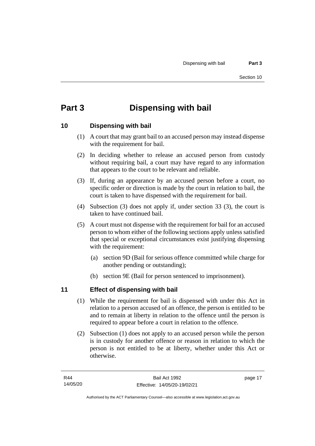# <span id="page-24-0"></span>**Part 3 Dispensing with bail**

## <span id="page-24-1"></span>**10 Dispensing with bail**

- (1) A court that may grant bail to an accused person may instead dispense with the requirement for bail.
- (2) In deciding whether to release an accused person from custody without requiring bail, a court may have regard to any information that appears to the court to be relevant and reliable.
- (3) If, during an appearance by an accused person before a court, no specific order or direction is made by the court in relation to bail, the court is taken to have dispensed with the requirement for bail.
- (4) Subsection (3) does not apply if, under section 33 (3), the court is taken to have continued bail.
- (5) A court must not dispense with the requirement for bail for an accused person to whom either of the following sections apply unless satisfied that special or exceptional circumstances exist justifying dispensing with the requirement:
	- (a) section 9D (Bail for serious offence committed while charge for another pending or outstanding);
	- (b) section 9E (Bail for person sentenced to imprisonment).

## <span id="page-24-2"></span>**11 Effect of dispensing with bail**

- (1) While the requirement for bail is dispensed with under this Act in relation to a person accused of an offence, the person is entitled to be and to remain at liberty in relation to the offence until the person is required to appear before a court in relation to the offence.
- (2) Subsection (1) does not apply to an accused person while the person is in custody for another offence or reason in relation to which the person is not entitled to be at liberty, whether under this Act or otherwise.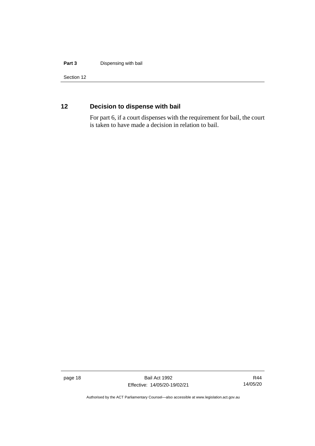#### **Part 3** Dispensing with bail

Section 12

## <span id="page-25-0"></span>**12 Decision to dispense with bail**

For part 6, if a court dispenses with the requirement for bail, the court is taken to have made a decision in relation to bail.

page 18 Bail Act 1992 Effective: 14/05/20-19/02/21

R44 14/05/20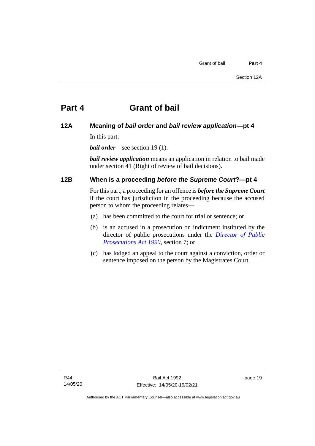# <span id="page-26-0"></span>**Part 4 Grant of bail**

#### <span id="page-26-1"></span>**12A Meaning of** *bail order* **and** *bail review application***—pt 4**

In this part:

*bail order*—see section 19 (1).

*bail review application* means an application in relation to bail made under section 41 (Right of review of bail decisions).

## <span id="page-26-2"></span>**12B When is a proceeding** *before the Supreme Court***?—pt 4**

For this part, a proceeding for an offence is *before the Supreme Court* if the court has jurisdiction in the proceeding because the accused person to whom the proceeding relates—

- (a) has been committed to the court for trial or sentence; or
- (b) is an accused in a prosecution on indictment instituted by the director of public prosecutions under the *[Director of Public](http://www.legislation.act.gov.au/a/1990-22)  [Prosecutions Act 1990](http://www.legislation.act.gov.au/a/1990-22)*, section 7; or
- (c) has lodged an appeal to the court against a conviction, order or sentence imposed on the person by the Magistrates Court.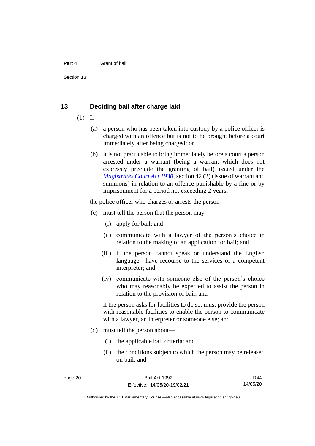#### **Part 4** Grant of bail

Section 13

#### <span id="page-27-0"></span>**13 Deciding bail after charge laid**

- $(1)$  If—
	- (a) a person who has been taken into custody by a police officer is charged with an offence but is not to be brought before a court immediately after being charged; or
	- (b) it is not practicable to bring immediately before a court a person arrested under a warrant (being a warrant which does not expressly preclude the granting of bail) issued under the *[Magistrates Court Act 1930](http://www.legislation.act.gov.au/a/1930-21)*, section 42 (2) (Issue of warrant and summons) in relation to an offence punishable by a fine or by imprisonment for a period not exceeding 2 years;

the police officer who charges or arrests the person—

- (c) must tell the person that the person may—
	- (i) apply for bail; and
	- (ii) communicate with a lawyer of the person's choice in relation to the making of an application for bail; and
	- (iii) if the person cannot speak or understand the English language—have recourse to the services of a competent interpreter; and
	- (iv) communicate with someone else of the person's choice who may reasonably be expected to assist the person in relation to the provision of bail; and

if the person asks for facilities to do so, must provide the person with reasonable facilities to enable the person to communicate with a lawyer, an interpreter or someone else; and

- (d) must tell the person about—
	- (i) the applicable bail criteria; and
	- (ii) the conditions subject to which the person may be released on bail; and

R44 14/05/20

Authorised by the ACT Parliamentary Counsel—also accessible at www.legislation.act.gov.au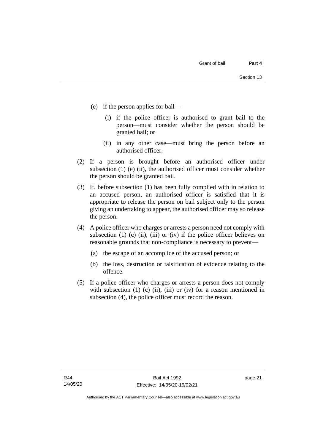- (e) if the person applies for bail—
	- (i) if the police officer is authorised to grant bail to the person—must consider whether the person should be granted bail; or
	- (ii) in any other case—must bring the person before an authorised officer.
- (2) If a person is brought before an authorised officer under subsection  $(1)$  (e)  $(ii)$ , the authorised officer must consider whether the person should be granted bail.
- (3) If, before subsection (1) has been fully complied with in relation to an accused person, an authorised officer is satisfied that it is appropriate to release the person on bail subject only to the person giving an undertaking to appear, the authorised officer may so release the person.
- (4) A police officer who charges or arrests a person need not comply with subsection (1) (c) (ii), (iii) or (iv) if the police officer believes on reasonable grounds that non-compliance is necessary to prevent—
	- (a) the escape of an accomplice of the accused person; or
	- (b) the loss, destruction or falsification of evidence relating to the offence.
- (5) If a police officer who charges or arrests a person does not comply with subsection  $(1)$   $(c)$   $(ii)$ ,  $(iii)$  or  $(iv)$  for a reason mentioned in subsection (4), the police officer must record the reason.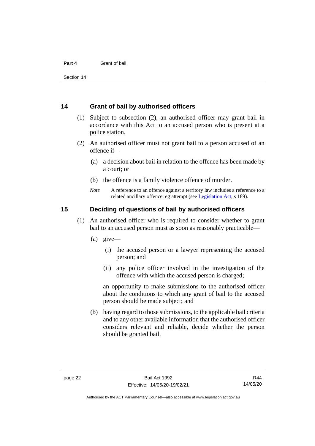#### **Part 4** Grant of bail

Section 14

#### <span id="page-29-0"></span>**14 Grant of bail by authorised officers**

- (1) Subject to subsection (2), an authorised officer may grant bail in accordance with this Act to an accused person who is present at a police station.
- (2) An authorised officer must not grant bail to a person accused of an offence if—
	- (a) a decision about bail in relation to the offence has been made by a court; or
	- (b) the offence is a family violence offence of murder.
	- *Note* A reference to an offence against a territory law includes a reference to a related ancillary offence, eg attempt (see [Legislation Act,](http://www.legislation.act.gov.au/a/2001-14) s 189).

#### <span id="page-29-1"></span>**15 Deciding of questions of bail by authorised officers**

- (1) An authorised officer who is required to consider whether to grant bail to an accused person must as soon as reasonably practicable—
	- (a) give—
		- (i) the accused person or a lawyer representing the accused person; and
		- (ii) any police officer involved in the investigation of the offence with which the accused person is charged;

an opportunity to make submissions to the authorised officer about the conditions to which any grant of bail to the accused person should be made subject; and

(b) having regard to those submissions, to the applicable bail criteria and to any other available information that the authorised officer considers relevant and reliable, decide whether the person should be granted bail.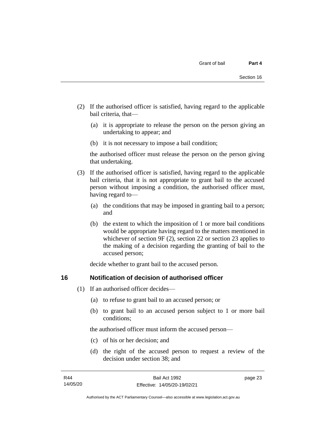- (2) If the authorised officer is satisfied, having regard to the applicable bail criteria, that—
	- (a) it is appropriate to release the person on the person giving an undertaking to appear; and
	- (b) it is not necessary to impose a bail condition;

the authorised officer must release the person on the person giving that undertaking.

- (3) If the authorised officer is satisfied, having regard to the applicable bail criteria, that it is not appropriate to grant bail to the accused person without imposing a condition, the authorised officer must, having regard to—
	- (a) the conditions that may be imposed in granting bail to a person; and
	- (b) the extent to which the imposition of 1 or more bail conditions would be appropriate having regard to the matters mentioned in whichever of section 9F (2), section 22 or section 23 applies to the making of a decision regarding the granting of bail to the accused person;

decide whether to grant bail to the accused person.

#### <span id="page-30-0"></span>**16 Notification of decision of authorised officer**

- (1) If an authorised officer decides—
	- (a) to refuse to grant bail to an accused person; or
	- (b) to grant bail to an accused person subject to 1 or more bail conditions;

the authorised officer must inform the accused person—

- (c) of his or her decision; and
- (d) the right of the accused person to request a review of the decision under section 38; and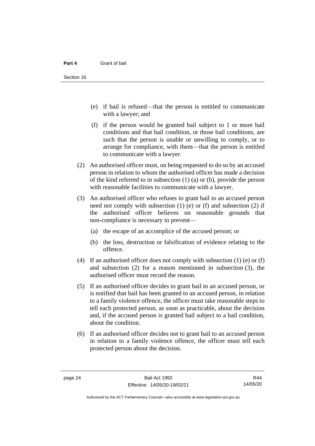- (e) if bail is refused—that the person is entitled to communicate with a lawyer; and
- (f) if the person would be granted bail subject to 1 or more bail conditions and that bail condition, or those bail conditions, are such that the person is unable or unwilling to comply, or to arrange for compliance, with them—that the person is entitled to communicate with a lawyer.
- (2) An authorised officer must, on being requested to do so by an accused person in relation to whom the authorised officer has made a decision of the kind referred to in subsection (1) (a) or (b), provide the person with reasonable facilities to communicate with a lawyer.
- (3) An authorised officer who refuses to grant bail to an accused person need not comply with subsection (1) (e) or (f) and subsection (2) if the authorised officer believes on reasonable grounds that non-compliance is necessary to prevent—
	- (a) the escape of an accomplice of the accused person; or
	- (b) the loss, destruction or falsification of evidence relating to the offence.
- (4) If an authorised officer does not comply with subsection (1) (e) or (f) and subsection (2) for a reason mentioned in subsection (3), the authorised officer must record the reason.
- (5) If an authorised officer decides to grant bail to an accused person, or is notified that bail has been granted to an accused person, in relation to a family violence offence, the officer must take reasonable steps to tell each protected person, as soon as practicable, about the decision and, if the accused person is granted bail subject to a bail condition, about the condition.
- (6) If an authorised officer decides not to grant bail to an accused person in relation to a family violence offence, the officer must tell each protected person about the decision.

R44 14/05/20

Authorised by the ACT Parliamentary Counsel—also accessible at www.legislation.act.gov.au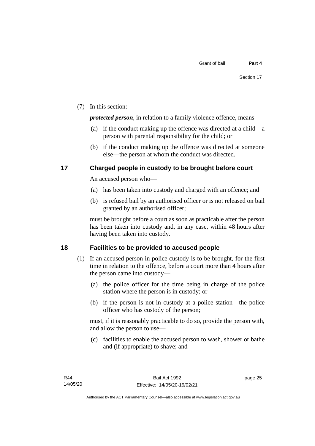(7) In this section:

*protected person*, in relation to a family violence offence, means—

- (a) if the conduct making up the offence was directed at a child—a person with parental responsibility for the child; or
- (b) if the conduct making up the offence was directed at someone else—the person at whom the conduct was directed.

## <span id="page-32-0"></span>**17 Charged people in custody to be brought before court**

An accused person who—

- (a) has been taken into custody and charged with an offence; and
- (b) is refused bail by an authorised officer or is not released on bail granted by an authorised officer;

must be brought before a court as soon as practicable after the person has been taken into custody and, in any case, within 48 hours after having been taken into custody.

## <span id="page-32-1"></span>**18 Facilities to be provided to accused people**

- (1) If an accused person in police custody is to be brought, for the first time in relation to the offence, before a court more than 4 hours after the person came into custody—
	- (a) the police officer for the time being in charge of the police station where the person is in custody; or
	- (b) if the person is not in custody at a police station—the police officer who has custody of the person;

must, if it is reasonably practicable to do so, provide the person with, and allow the person to use—

(c) facilities to enable the accused person to wash, shower or bathe and (if appropriate) to shave; and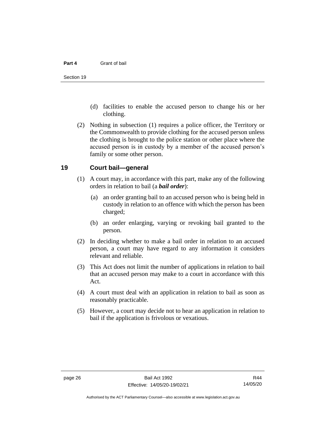#### **Part 4** Grant of bail

- (d) facilities to enable the accused person to change his or her clothing.
- (2) Nothing in subsection (1) requires a police officer, the Territory or the Commonwealth to provide clothing for the accused person unless the clothing is brought to the police station or other place where the accused person is in custody by a member of the accused person's family or some other person.

#### <span id="page-33-0"></span>**19 Court bail—general**

- (1) A court may, in accordance with this part, make any of the following orders in relation to bail (a *bail order*):
	- (a) an order granting bail to an accused person who is being held in custody in relation to an offence with which the person has been charged;
	- (b) an order enlarging, varying or revoking bail granted to the person.
- (2) In deciding whether to make a bail order in relation to an accused person, a court may have regard to any information it considers relevant and reliable.
- (3) This Act does not limit the number of applications in relation to bail that an accused person may make to a court in accordance with this Act.
- (4) A court must deal with an application in relation to bail as soon as reasonably practicable.
- (5) However, a court may decide not to hear an application in relation to bail if the application is frivolous or vexatious.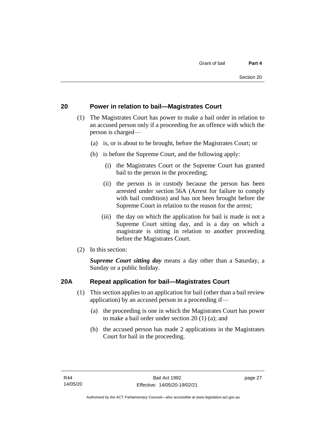## <span id="page-34-0"></span>**20 Power in relation to bail—Magistrates Court**

- (1) The Magistrates Court has power to make a bail order in relation to an accused person only if a proceeding for an offence with which the person is charged—
	- (a) is, or is about to be brought, before the Magistrates Court; or
	- (b) is before the Supreme Court, and the following apply:
		- (i) the Magistrates Court or the Supreme Court has granted bail to the person in the proceeding;
		- (ii) the person is in custody because the person has been arrested under section 56A (Arrest for failure to comply with bail condition) and has not been brought before the Supreme Court in relation to the reason for the arrest;
		- (iii) the day on which the application for bail is made is not a Supreme Court sitting day, and is a day on which a magistrate is sitting in relation to another proceeding before the Magistrates Court.
- (2) In this section:

*Supreme Court sitting day* means a day other than a Saturday, a Sunday or a public holiday.

#### <span id="page-34-1"></span>**20A Repeat application for bail—Magistrates Court**

- (1) This section applies to an application for bail (other than a bail review application) by an accused person in a proceeding if—
	- (a) the proceeding is one in which the Magistrates Court has power to make a bail order under section 20 (1) (a); and
	- (b) the accused person has made 2 applications in the Magistrates Court for bail in the proceeding.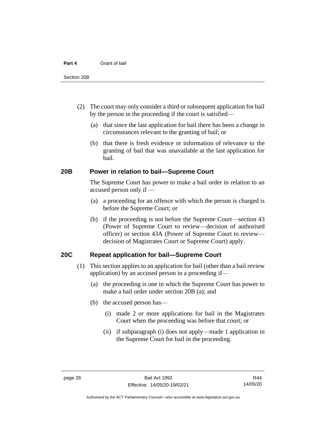#### **Part 4** Grant of bail

- (2) The court may only consider a third or subsequent application for bail by the person in the proceeding if the court is satisfied—
	- (a) that since the last application for bail there has been a change in circumstances relevant to the granting of bail; or
	- (b) that there is fresh evidence or information of relevance to the granting of bail that was unavailable at the last application for bail.

#### <span id="page-35-0"></span>**20B Power in relation to bail—Supreme Court**

The Supreme Court has power to make a bail order in relation to an accused person only if —

- (a) a proceeding for an offence with which the person is charged is before the Supreme Court; or
- (b) if the proceeding is not before the Supreme Court—section 43 (Power of Supreme Court to review—decision of authorised officer) or section 43A (Power of Supreme Court to review decision of Magistrates Court or Supreme Court) apply.

#### <span id="page-35-1"></span>**20C Repeat application for bail—Supreme Court**

- (1) This section applies to an application for bail (other than a bail review application) by an accused person in a proceeding if—
	- (a) the proceeding is one in which the Supreme Court has power to make a bail order under section 20B (a); and
	- (b) the accused person has—
		- (i) made 2 or more applications for bail in the Magistrates Court when the proceeding was before that court; or
		- (ii) if subparagraph (i) does not apply—made 1 application in the Supreme Court for bail in the proceeding.

Authorised by the ACT Parliamentary Counsel—also accessible at www.legislation.act.gov.au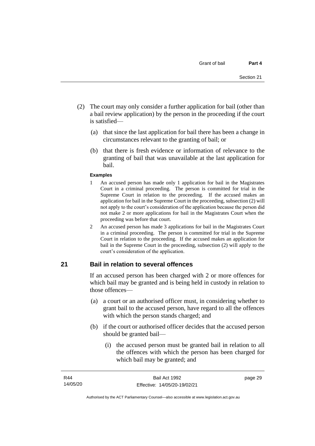- (2) The court may only consider a further application for bail (other than a bail review application) by the person in the proceeding if the court is satisfied—
	- (a) that since the last application for bail there has been a change in circumstances relevant to the granting of bail; or
	- (b) that there is fresh evidence or information of relevance to the granting of bail that was unavailable at the last application for bail.

#### **Examples**

- 1 An accused person has made only 1 application for bail in the Magistrates Court in a criminal proceeding. The person is committed for trial in the Supreme Court in relation to the proceeding. If the accused makes an application for bail in the Supreme Court in the proceeding, subsection (2) will not apply to the court's consideration of the application because the person did not make 2 or more applications for bail in the Magistrates Court when the proceeding was before that court.
- 2 An accused person has made 3 applications for bail in the Magistrates Court in a criminal proceeding. The person is committed for trial in the Supreme Court in relation to the proceeding. If the accused makes an application for bail in the Supreme Court in the proceeding, subsection (2) will apply to the court's consideration of the application.

# **21 Bail in relation to several offences**

If an accused person has been charged with 2 or more offences for which bail may be granted and is being held in custody in relation to those offences—

- (a) a court or an authorised officer must, in considering whether to grant bail to the accused person, have regard to all the offences with which the person stands charged; and
- (b) if the court or authorised officer decides that the accused person should be granted bail—
	- (i) the accused person must be granted bail in relation to all the offences with which the person has been charged for which bail may be granted; and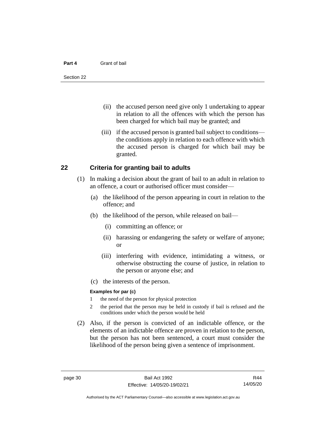#### **Part 4** Grant of bail

- (ii) the accused person need give only 1 undertaking to appear in relation to all the offences with which the person has been charged for which bail may be granted; and
- (iii) if the accused person is granted bail subject to conditions the conditions apply in relation to each offence with which the accused person is charged for which bail may be granted.

## **22 Criteria for granting bail to adults**

- (1) In making a decision about the grant of bail to an adult in relation to an offence, a court or authorised officer must consider—
	- (a) the likelihood of the person appearing in court in relation to the offence; and
	- (b) the likelihood of the person, while released on bail—
		- (i) committing an offence; or
		- (ii) harassing or endangering the safety or welfare of anyone; or
		- (iii) interfering with evidence, intimidating a witness, or otherwise obstructing the course of justice, in relation to the person or anyone else; and
	- (c) the interests of the person.

#### **Examples for par (c)**

- 1 the need of the person for physical protection
- 2 the period that the person may be held in custody if bail is refused and the conditions under which the person would be held
- (2) Also, if the person is convicted of an indictable offence, or the elements of an indictable offence are proven in relation to the person, but the person has not been sentenced, a court must consider the likelihood of the person being given a sentence of imprisonment.

R44 14/05/20

Authorised by the ACT Parliamentary Counsel—also accessible at www.legislation.act.gov.au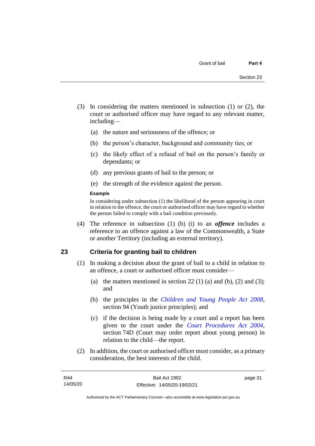- (3) In considering the matters mentioned in subsection (1) or (2), the court or authorised officer may have regard to any relevant matter, including—
	- (a) the nature and seriousness of the offence; or
	- (b) the person's character, background and community ties; or
	- (c) the likely effect of a refusal of bail on the person's family or dependants; or
	- (d) any previous grants of bail to the person; or
	- (e) the strength of the evidence against the person.

#### **Example**

In considering under subsection (1) the likelihood of the person appearing in court in relation to the offence, the court or authorised officer may have regard to whether the person failed to comply with a bail condition previously.

(4) The reference in subsection (1) (b) (i) to an *offence* includes a reference to an offence against a law of the Commonwealth, a State or another Territory (including an external territory).

# **23 Criteria for granting bail to children**

- (1) In making a decision about the grant of bail to a child in relation to an offence, a court or authorised officer must consider—
	- (a) the matters mentioned in section 22 (1) (a) and (b), (2) and (3); and
	- (b) the principles in the *[Children and Young People Act 2008](http://www.legislation.act.gov.au/a/2008-19)*, section 94 (Youth justice principles); and
	- (c) if the decision is being made by a court and a report has been given to the court under the *[Court Procedures Act 2004](http://www.legislation.act.gov.au/a/2004-59)*, section 74D (Court may order report about young person) in relation to the child—the report.
- (2) In addition, the court or authorised officer must consider, as a primary consideration, the best interests of the child.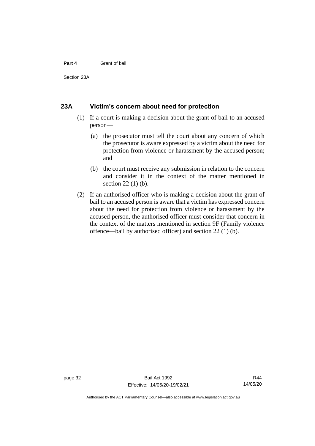#### **Part 4** Grant of bail

Section 23A

### **23A Victim's concern about need for protection**

- (1) If a court is making a decision about the grant of bail to an accused person—
	- (a) the prosecutor must tell the court about any concern of which the prosecutor is aware expressed by a victim about the need for protection from violence or harassment by the accused person; and
	- (b) the court must receive any submission in relation to the concern and consider it in the context of the matter mentioned in section 22 (1) (b).
- (2) If an authorised officer who is making a decision about the grant of bail to an accused person is aware that a victim has expressed concern about the need for protection from violence or harassment by the accused person, the authorised officer must consider that concern in the context of the matters mentioned in section 9F (Family violence offence—bail by authorised officer) and section 22 (1) (b).

Authorised by the ACT Parliamentary Counsel—also accessible at www.legislation.act.gov.au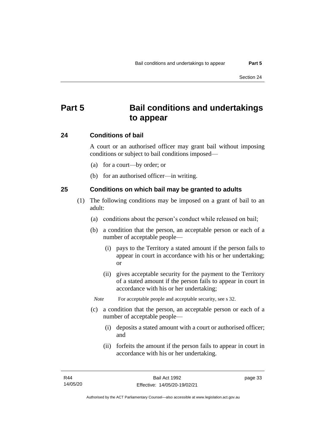# **Part 5 Bail conditions and undertakings to appear**

## **24 Conditions of bail**

A court or an authorised officer may grant bail without imposing conditions or subject to bail conditions imposed—

- (a) for a court—by order; or
- (b) for an authorised officer—in writing.

# **25 Conditions on which bail may be granted to adults**

- (1) The following conditions may be imposed on a grant of bail to an adult:
	- (a) conditions about the person's conduct while released on bail;
	- (b) a condition that the person, an acceptable person or each of a number of acceptable people—
		- (i) pays to the Territory a stated amount if the person fails to appear in court in accordance with his or her undertaking; or
		- (ii) gives acceptable security for the payment to the Territory of a stated amount if the person fails to appear in court in accordance with his or her undertaking;

*Note* For acceptable people and acceptable security, see s 32.

- (c) a condition that the person, an acceptable person or each of a number of acceptable people—
	- (i) deposits a stated amount with a court or authorised officer; and
	- (ii) forfeits the amount if the person fails to appear in court in accordance with his or her undertaking.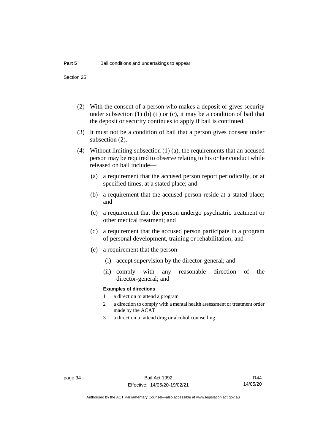- (2) With the consent of a person who makes a deposit or gives security under subsection  $(1)$  (b)  $(ii)$  or  $(c)$ , it may be a condition of bail that the deposit or security continues to apply if bail is continued.
- (3) It must not be a condition of bail that a person gives consent under subsection (2).
- (4) Without limiting subsection (1) (a), the requirements that an accused person may be required to observe relating to his or her conduct while released on bail include—
	- (a) a requirement that the accused person report periodically, or at specified times, at a stated place; and
	- (b) a requirement that the accused person reside at a stated place; and
	- (c) a requirement that the person undergo psychiatric treatment or other medical treatment; and
	- (d) a requirement that the accused person participate in a program of personal development, training or rehabilitation; and
	- (e) a requirement that the person—
		- (i) accept supervision by the director-general; and
		- (ii) comply with any reasonable direction of the director-general; and

#### **Examples of directions**

- 1 a direction to attend a program
- 2 a direction to comply with a mental health assessment or treatment order made by the ACAT
- 3 a direction to attend drug or alcohol counselling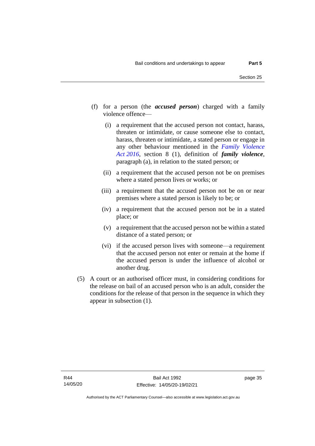- (f) for a person (the *accused person*) charged with a family violence offence—
	- (i) a requirement that the accused person not contact, harass, threaten or intimidate, or cause someone else to contact, harass, threaten or intimidate, a stated person or engage in any other behaviour mentioned in the *[Family Violence](http://www.legislation.act.gov.au/a/2016-42)  Act [2016](http://www.legislation.act.gov.au/a/2016-42)*, section 8 (1), definition of *family violence*, paragraph (a), in relation to the stated person; or
	- (ii) a requirement that the accused person not be on premises where a stated person lives or works; or
	- (iii) a requirement that the accused person not be on or near premises where a stated person is likely to be; or
	- (iv) a requirement that the accused person not be in a stated place; or
	- (v) a requirement that the accused person not be within a stated distance of a stated person; or
	- (vi) if the accused person lives with someone—a requirement that the accused person not enter or remain at the home if the accused person is under the influence of alcohol or another drug.
- (5) A court or an authorised officer must, in considering conditions for the release on bail of an accused person who is an adult, consider the conditions for the release of that person in the sequence in which they appear in subsection (1).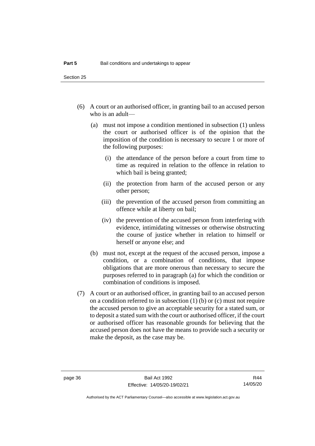- (6) A court or an authorised officer, in granting bail to an accused person who is an adult—
	- (a) must not impose a condition mentioned in subsection (1) unless the court or authorised officer is of the opinion that the imposition of the condition is necessary to secure 1 or more of the following purposes:
		- (i) the attendance of the person before a court from time to time as required in relation to the offence in relation to which bail is being granted;
		- (ii) the protection from harm of the accused person or any other person;
		- (iii) the prevention of the accused person from committing an offence while at liberty on bail;
		- (iv) the prevention of the accused person from interfering with evidence, intimidating witnesses or otherwise obstructing the course of justice whether in relation to himself or herself or anyone else; and
	- (b) must not, except at the request of the accused person, impose a condition, or a combination of conditions, that impose obligations that are more onerous than necessary to secure the purposes referred to in paragraph (a) for which the condition or combination of conditions is imposed.
- (7) A court or an authorised officer, in granting bail to an accused person on a condition referred to in subsection (1) (b) or (c) must not require the accused person to give an acceptable security for a stated sum, or to deposit a stated sum with the court or authorised officer, if the court or authorised officer has reasonable grounds for believing that the accused person does not have the means to provide such a security or make the deposit, as the case may be.

R44 14/05/20

Authorised by the ACT Parliamentary Counsel—also accessible at www.legislation.act.gov.au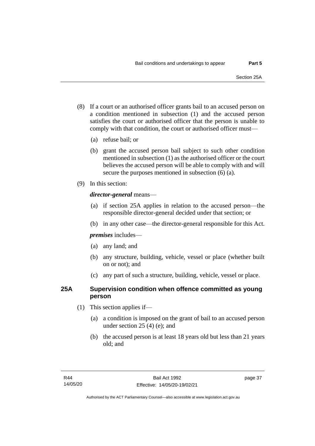- (8) If a court or an authorised officer grants bail to an accused person on a condition mentioned in subsection (1) and the accused person satisfies the court or authorised officer that the person is unable to comply with that condition, the court or authorised officer must—
	- (a) refuse bail; or
	- (b) grant the accused person bail subject to such other condition mentioned in subsection (1) as the authorised officer or the court believes the accused person will be able to comply with and will secure the purposes mentioned in subsection (6) (a).
- (9) In this section:

# *director-general* means—

- (a) if section 25A applies in relation to the accused person—the responsible director-general decided under that section; or
- (b) in any other case—the director-general responsible for this Act.

*premises* includes—

- (a) any land; and
- (b) any structure, building, vehicle, vessel or place (whether built on or not); and
- (c) any part of such a structure, building, vehicle, vessel or place.

# **25A Supervision condition when offence committed as young person**

- (1) This section applies if—
	- (a) a condition is imposed on the grant of bail to an accused person under section 25 (4) (e); and
	- (b) the accused person is at least 18 years old but less than 21 years old; and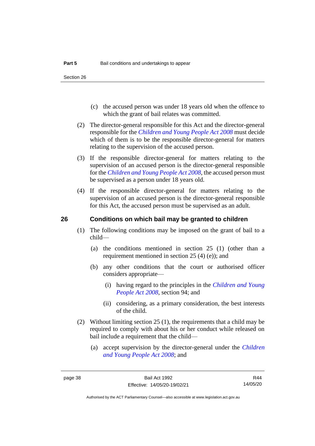- (c) the accused person was under 18 years old when the offence to which the grant of bail relates was committed.
- (2) The director-general responsible for this Act and the director-general responsible for the *[Children and Young People Act 2008](http://www.legislation.act.gov.au/a/2008-19)* must decide which of them is to be the responsible director-general for matters relating to the supervision of the accused person.
- (3) If the responsible director-general for matters relating to the supervision of an accused person is the director-general responsible for the *[Children and Young People Act 2008](http://www.legislation.act.gov.au/a/2008-19)*, the accused person must be supervised as a person under 18 years old.
- (4) If the responsible director-general for matters relating to the supervision of an accused person is the director-general responsible for this Act, the accused person must be supervised as an adult.

## **26 Conditions on which bail may be granted to children**

- (1) The following conditions may be imposed on the grant of bail to a child—
	- (a) the conditions mentioned in section 25 (1) (other than a requirement mentioned in section 25 (4) (e)); and
	- (b) any other conditions that the court or authorised officer considers appropriate—
		- (i) having regard to the principles in the *[Children and Young](http://www.legislation.act.gov.au/a/2008-19)  [People Act 2008](http://www.legislation.act.gov.au/a/2008-19)*, section 94; and
		- (ii) considering, as a primary consideration, the best interests of the child.
- (2) Without limiting section 25 (1), the requirements that a child may be required to comply with about his or her conduct while released on bail include a requirement that the child—
	- (a) accept supervision by the director-general under the *[Children](http://www.legislation.act.gov.au/a/2008-19)  [and Young People Act 2008](http://www.legislation.act.gov.au/a/2008-19)*; and

R44 14/05/20

Authorised by the ACT Parliamentary Counsel—also accessible at www.legislation.act.gov.au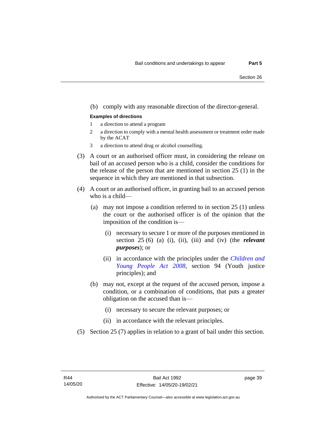#### (b) comply with any reasonable direction of the director-general.

#### **Examples of directions**

- 1 a direction to attend a program
- 2 a direction to comply with a mental health assessment or treatment order made by the ACAT
- 3 a direction to attend drug or alcohol counselling.
- (3) A court or an authorised officer must, in considering the release on bail of an accused person who is a child, consider the conditions for the release of the person that are mentioned in section 25 (1) in the sequence in which they are mentioned in that subsection.
- (4) A court or an authorised officer, in granting bail to an accused person who is a child—
	- (a) may not impose a condition referred to in section 25 (1) unless the court or the authorised officer is of the opinion that the imposition of the condition is—
		- (i) necessary to secure 1 or more of the purposes mentioned in section 25 (6) (a) (i), (ii), (iii) and (iv) (the *relevant purposes*); or
		- (ii) in accordance with the principles under the *[Children and](http://www.legislation.act.gov.au/a/2008-19)  [Young People Act 2008](http://www.legislation.act.gov.au/a/2008-19)*, section 94 (Youth justice principles); and
	- (b) may not, except at the request of the accused person, impose a condition, or a combination of conditions, that puts a greater obligation on the accused than is—
		- (i) necessary to secure the relevant purposes; or
		- (ii) in accordance with the relevant principles.
- (5) Section 25 (7) applies in relation to a grant of bail under this section.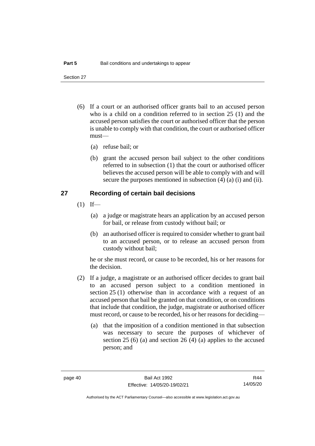- (6) If a court or an authorised officer grants bail to an accused person who is a child on a condition referred to in section 25 (1) and the accused person satisfies the court or authorised officer that the person is unable to comply with that condition, the court or authorised officer must—
	- (a) refuse bail; or
	- (b) grant the accused person bail subject to the other conditions referred to in subsection (1) that the court or authorised officer believes the accused person will be able to comply with and will secure the purposes mentioned in subsection (4) (a) (i) and (ii).

## **27 Recording of certain bail decisions**

- $(1)$  If—
	- (a) a judge or magistrate hears an application by an accused person for bail, or release from custody without bail; or
	- (b) an authorised officer is required to consider whether to grant bail to an accused person, or to release an accused person from custody without bail;

he or she must record, or cause to be recorded, his or her reasons for the decision.

- (2) If a judge, a magistrate or an authorised officer decides to grant bail to an accused person subject to a condition mentioned in section 25 (1) otherwise than in accordance with a request of an accused person that bail be granted on that condition, or on conditions that include that condition, the judge, magistrate or authorised officer must record, or cause to be recorded, his or her reasons for deciding—
	- (a) that the imposition of a condition mentioned in that subsection was necessary to secure the purposes of whichever of section 25 (6) (a) and section 26 (4) (a) applies to the accused person; and

R44 14/05/20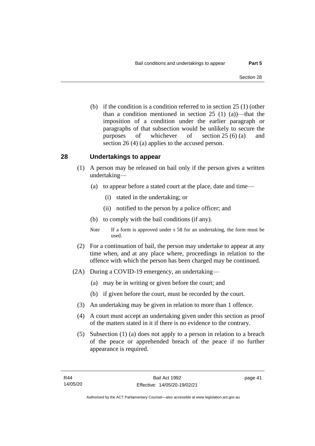(b) if the condition is a condition referred to in section 25 (1) (other than a condition mentioned in section 25 (1) (a))—that the imposition of a condition under the earlier paragraph or paragraphs of that subsection would be unlikely to secure the purposes of whichever of section 25 (6) (a) and section 26 (4) (a) applies to the accused person.

# **28 Undertakings to appear**

- (1) A person may be released on bail only if the person gives a written undertaking—
	- (a) to appear before a stated court at the place, date and time—
		- (i) stated in the undertaking; or
		- (ii) notified to the person by a police officer; and
	- (b) to comply with the bail conditions (if any).
	- *Note* If a form is approved under s 58 for an undertaking, the form must be used.
- (2) For a continuation of bail, the person may undertake to appear at any time when, and at any place where, proceedings in relation to the offence with which the person has been charged may be continued.
- (2A) During a COVID-19 emergency, an undertaking—
	- (a) may be in writing or given before the court; and
	- (b) if given before the court, must be recorded by the court.
	- (3) An undertaking may be given in relation to more than 1 offence.
	- (4) A court must accept an undertaking given under this section as proof of the matters stated in it if there is no evidence to the contrary.
	- (5) Subsection (1) (a) does not apply to a person in relation to a breach of the peace or apprehended breach of the peace if no further appearance is required.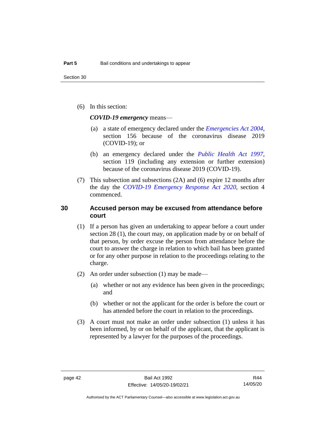(6) In this section:

*COVID-19 emergency* means—

- (a) a state of emergency declared under the *[Emergencies Act 2004](http://www.legislation.act.gov.au/a/2004-28)*, section 156 because of the coronavirus disease 2019 (COVID-19); or
- (b) an emergency declared under the *[Public Health Act 1997](http://www.legislation.act.gov.au/a/1997-69)*, section 119 (including any extension or further extension) because of the coronavirus disease 2019 (COVID-19).
- (7) This subsection and subsections (2A) and (6) expire 12 months after the day the *[COVID-19 Emergency Response Act 2020](http://www.legislation.act.gov.au/a/2020-11)*, section 4 commenced.

# **30 Accused person may be excused from attendance before court**

- (1) If a person has given an undertaking to appear before a court under section 28 (1), the court may, on application made by or on behalf of that person, by order excuse the person from attendance before the court to answer the charge in relation to which bail has been granted or for any other purpose in relation to the proceedings relating to the charge.
- (2) An order under subsection (1) may be made—
	- (a) whether or not any evidence has been given in the proceedings; and
	- (b) whether or not the applicant for the order is before the court or has attended before the court in relation to the proceedings.
- (3) A court must not make an order under subsection (1) unless it has been informed, by or on behalf of the applicant, that the applicant is represented by a lawyer for the purposes of the proceedings.

R44 14/05/20

Authorised by the ACT Parliamentary Counsel—also accessible at www.legislation.act.gov.au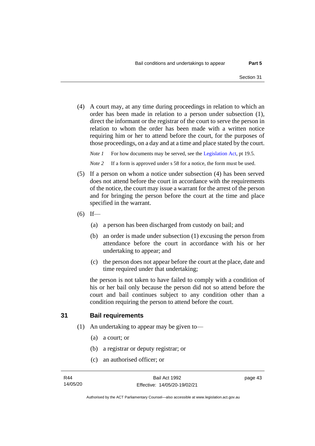(4) A court may, at any time during proceedings in relation to which an order has been made in relation to a person under subsection (1), direct the informant or the registrar of the court to serve the person in relation to whom the order has been made with a written notice requiring him or her to attend before the court, for the purposes of those proceedings, on a day and at a time and place stated by the court.

*Note 1* For how documents may be served, see th[e Legislation Act,](http://www.legislation.act.gov.au/a/2001-14) pt 19.5.

*Note* 2 If a form is approved under s 58 for a notice, the form must be used.

- (5) If a person on whom a notice under subsection (4) has been served does not attend before the court in accordance with the requirements of the notice, the court may issue a warrant for the arrest of the person and for bringing the person before the court at the time and place specified in the warrant.
- $(6)$  If—
	- (a) a person has been discharged from custody on bail; and
	- (b) an order is made under subsection (1) excusing the person from attendance before the court in accordance with his or her undertaking to appear; and
	- (c) the person does not appear before the court at the place, date and time required under that undertaking;

the person is not taken to have failed to comply with a condition of his or her bail only because the person did not so attend before the court and bail continues subject to any condition other than a condition requiring the person to attend before the court.

# **31 Bail requirements**

- (1) An undertaking to appear may be given to—
	- (a) a court; or
	- (b) a registrar or deputy registrar; or
	- (c) an authorised officer; or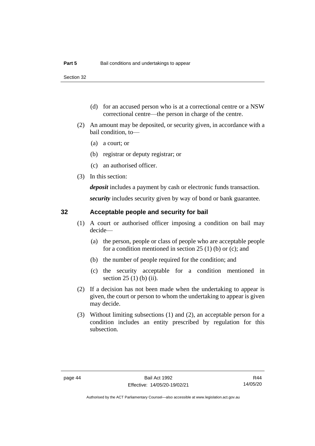- (d) for an accused person who is at a correctional centre or a NSW correctional centre—the person in charge of the centre.
- (2) An amount may be deposited, or security given, in accordance with a bail condition, to—
	- (a) a court; or
	- (b) registrar or deputy registrar; or
	- (c) an authorised officer.
- (3) In this section:

*deposit* includes a payment by cash or electronic funds transaction.

*security* includes security given by way of bond or bank guarantee.

# **32 Acceptable people and security for bail**

- (1) A court or authorised officer imposing a condition on bail may decide—
	- (a) the person, people or class of people who are acceptable people for a condition mentioned in section 25 (1) (b) or (c); and
	- (b) the number of people required for the condition; and
	- (c) the security acceptable for a condition mentioned in section 25 (1) (b) (ii).
- (2) If a decision has not been made when the undertaking to appear is given, the court or person to whom the undertaking to appear is given may decide.
- (3) Without limiting subsections (1) and (2), an acceptable person for a condition includes an entity prescribed by regulation for this subsection.

R44 14/05/20

Authorised by the ACT Parliamentary Counsel—also accessible at www.legislation.act.gov.au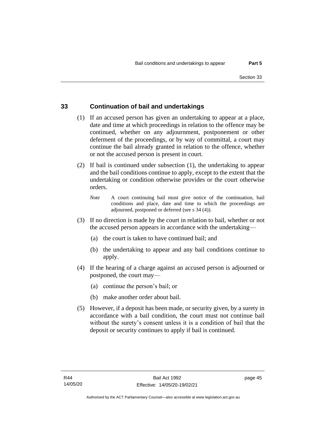# **33 Continuation of bail and undertakings**

- (1) If an accused person has given an undertaking to appear at a place, date and time at which proceedings in relation to the offence may be continued, whether on any adjournment, postponement or other deferment of the proceedings, or by way of committal, a court may continue the bail already granted in relation to the offence, whether or not the accused person is present in court.
- (2) If bail is continued under subsection (1), the undertaking to appear and the bail conditions continue to apply, except to the extent that the undertaking or condition otherwise provides or the court otherwise orders.
	- *Note* A court continuing bail must give notice of the continuation, bail conditions and place, date and time to which the proceedings are adjourned, postponed or deferred (see s 34 (4)).
- (3) If no direction is made by the court in relation to bail, whether or not the accused person appears in accordance with the undertaking—
	- (a) the court is taken to have continued bail; and
	- (b) the undertaking to appear and any bail conditions continue to apply.
- (4) If the hearing of a charge against an accused person is adjourned or postponed, the court may—
	- (a) continue the person's bail; or
	- (b) make another order about bail.
- (5) However, if a deposit has been made, or security given, by a surety in accordance with a bail condition, the court must not continue bail without the surety's consent unless it is a condition of bail that the deposit or security continues to apply if bail is continued.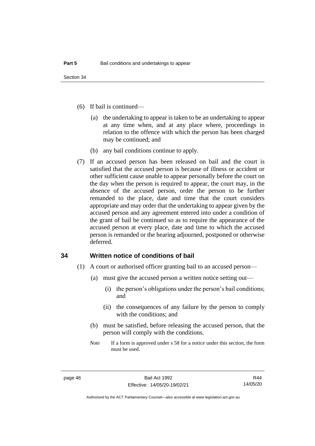- (6) If bail is continued—
	- (a) the undertaking to appear is taken to be an undertaking to appear at any time when, and at any place where, proceedings in relation to the offence with which the person has been charged may be continued; and
	- (b) any bail conditions continue to apply.
- (7) If an accused person has been released on bail and the court is satisfied that the accused person is because of illness or accident or other sufficient cause unable to appear personally before the court on the day when the person is required to appear, the court may, in the absence of the accused person, order the person to be further remanded to the place, date and time that the court considers appropriate and may order that the undertaking to appear given by the accused person and any agreement entered into under a condition of the grant of bail be continued so as to require the appearance of the accused person at every place, date and time to which the accused person is remanded or the hearing adjourned, postponed or otherwise deferred.

## **34 Written notice of conditions of bail**

- (1) A court or authorised officer granting bail to an accused person—
	- (a) must give the accused person a written notice setting out—
		- (i) the person's obligations under the person's bail conditions; and
		- (ii) the consequences of any failure by the person to comply with the conditions; and
	- (b) must be satisfied, before releasing the accused person, that the person will comply with the conditions.
	- *Note* If a form is approved under s 58 for a notice under this section, the form must be used.

R44 14/05/20

Authorised by the ACT Parliamentary Counsel—also accessible at www.legislation.act.gov.au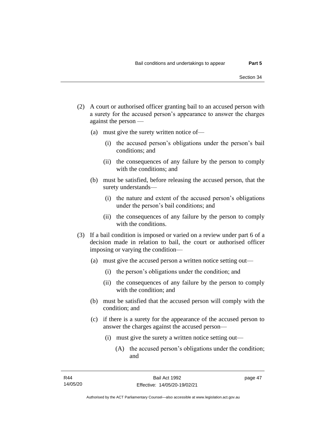- (2) A court or authorised officer granting bail to an accused person with a surety for the accused person's appearance to answer the charges against the person —
	- (a) must give the surety written notice of—
		- (i) the accused person's obligations under the person's bail conditions; and
		- (ii) the consequences of any failure by the person to comply with the conditions; and
	- (b) must be satisfied, before releasing the accused person, that the surety understands—
		- (i) the nature and extent of the accused person's obligations under the person's bail conditions; and
		- (ii) the consequences of any failure by the person to comply with the conditions.
- (3) If a bail condition is imposed or varied on a review under part 6 of a decision made in relation to bail, the court or authorised officer imposing or varying the condition—
	- (a) must give the accused person a written notice setting out—
		- (i) the person's obligations under the condition; and
		- (ii) the consequences of any failure by the person to comply with the condition; and
	- (b) must be satisfied that the accused person will comply with the condition; and
	- (c) if there is a surety for the appearance of the accused person to answer the charges against the accused person—
		- (i) must give the surety a written notice setting out—
			- (A) the accused person's obligations under the condition; and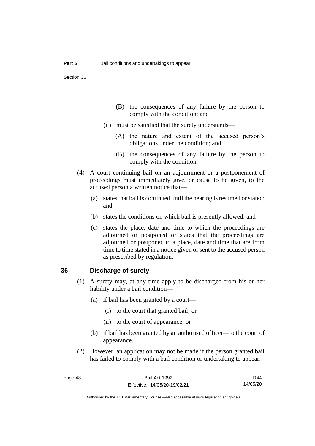- (B) the consequences of any failure by the person to comply with the condition; and
- (ii) must be satisfied that the surety understands—
	- (A) the nature and extent of the accused person's obligations under the condition; and
	- (B) the consequences of any failure by the person to comply with the condition.
- (4) A court continuing bail on an adjournment or a postponement of proceedings must immediately give, or cause to be given, to the accused person a written notice that—
	- (a) states that bail is continued until the hearing is resumed or stated; and
	- (b) states the conditions on which bail is presently allowed; and
	- (c) states the place, date and time to which the proceedings are adjourned or postponed or states that the proceedings are adjourned or postponed to a place, date and time that are from time to time stated in a notice given or sent to the accused person as prescribed by regulation.

### **36 Discharge of surety**

- (1) A surety may, at any time apply to be discharged from his or her liability under a bail condition—
	- (a) if bail has been granted by a court—
		- (i) to the court that granted bail; or
		- (ii) to the court of appearance; or
	- (b) if bail has been granted by an authorised officer—to the court of appearance.
- (2) However, an application may not be made if the person granted bail has failed to comply with a bail condition or undertaking to appear.

R44 14/05/20

Authorised by the ACT Parliamentary Counsel—also accessible at www.legislation.act.gov.au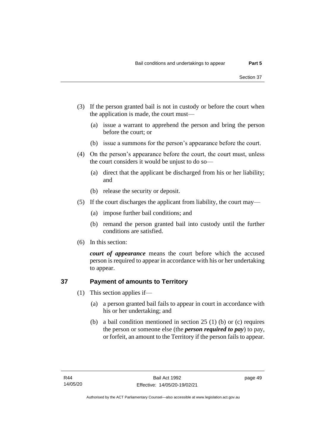- (3) If the person granted bail is not in custody or before the court when the application is made, the court must—
	- (a) issue a warrant to apprehend the person and bring the person before the court; or
	- (b) issue a summons for the person's appearance before the court.
- (4) On the person's appearance before the court, the court must, unless the court considers it would be unjust to do so—
	- (a) direct that the applicant be discharged from his or her liability; and
	- (b) release the security or deposit.
- (5) If the court discharges the applicant from liability, the court may—
	- (a) impose further bail conditions; and
	- (b) remand the person granted bail into custody until the further conditions are satisfied.
- (6) In this section:

*court of appearance* means the court before which the accused person is required to appear in accordance with his or her undertaking to appear.

# **37 Payment of amounts to Territory**

- (1) This section applies if—
	- (a) a person granted bail fails to appear in court in accordance with his or her undertaking; and
	- (b) a bail condition mentioned in section 25 (1) (b) or (c) requires the person or someone else (the *person required to pay*) to pay, or forfeit, an amount to the Territory if the person fails to appear.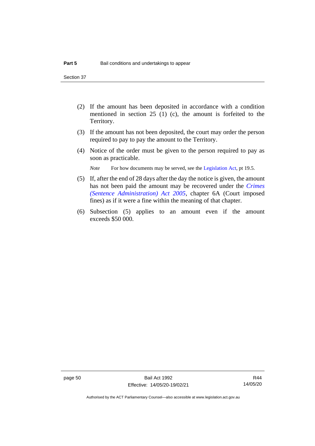- (2) If the amount has been deposited in accordance with a condition mentioned in section 25 (1) (c), the amount is forfeited to the Territory.
- (3) If the amount has not been deposited, the court may order the person required to pay to pay the amount to the Territory.
- (4) Notice of the order must be given to the person required to pay as soon as practicable.

*Note* For how documents may be served, see th[e Legislation Act,](http://www.legislation.act.gov.au/a/2001-14) pt 19.5.

- (5) If, after the end of 28 days after the day the notice is given, the amount has not been paid the amount may be recovered under the *[Crimes](http://www.legislation.act.gov.au/a/2005-59)  [\(Sentence Administration\) Act 2005](http://www.legislation.act.gov.au/a/2005-59)*, chapter 6A (Court imposed fines) as if it were a fine within the meaning of that chapter.
- (6) Subsection (5) applies to an amount even if the amount exceeds \$50 000.

Authorised by the ACT Parliamentary Counsel—also accessible at www.legislation.act.gov.au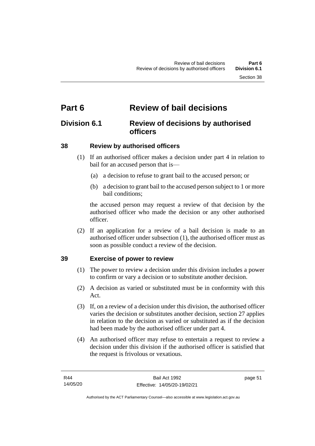# **Part 6 Review of bail decisions**

# **Division 6.1 Review of decisions by authorised officers**

# **38 Review by authorised officers**

- (1) If an authorised officer makes a decision under part 4 in relation to bail for an accused person that is—
	- (a) a decision to refuse to grant bail to the accused person; or
	- (b) a decision to grant bail to the accused person subject to 1 or more bail conditions;

the accused person may request a review of that decision by the authorised officer who made the decision or any other authorised officer.

(2) If an application for a review of a bail decision is made to an authorised officer under subsection (1), the authorised officer must as soon as possible conduct a review of the decision.

# **39 Exercise of power to review**

- (1) The power to review a decision under this division includes a power to confirm or vary a decision or to substitute another decision.
- (2) A decision as varied or substituted must be in conformity with this Act.
- (3) If, on a review of a decision under this division, the authorised officer varies the decision or substitutes another decision, section 27 applies in relation to the decision as varied or substituted as if the decision had been made by the authorised officer under part 4.
- (4) An authorised officer may refuse to entertain a request to review a decision under this division if the authorised officer is satisfied that the request is frivolous or vexatious.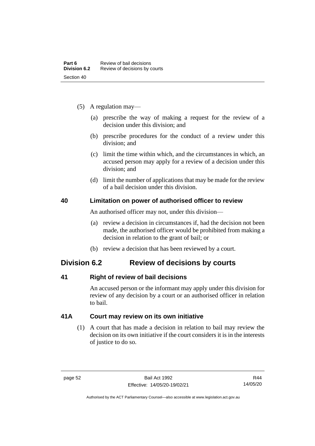- (5) A regulation may—
	- (a) prescribe the way of making a request for the review of a decision under this division; and
	- (b) prescribe procedures for the conduct of a review under this division; and
	- (c) limit the time within which, and the circumstances in which, an accused person may apply for a review of a decision under this division; and
	- (d) limit the number of applications that may be made for the review of a bail decision under this division.

# **40 Limitation on power of authorised officer to review**

An authorised officer may not, under this division—

- (a) review a decision in circumstances if, had the decision not been made, the authorised officer would be prohibited from making a decision in relation to the grant of bail; or
- (b) review a decision that has been reviewed by a court.

# **Division 6.2 Review of decisions by courts**

# **41 Right of review of bail decisions**

An accused person or the informant may apply under this division for review of any decision by a court or an authorised officer in relation to bail.

# **41A Court may review on its own initiative**

(1) A court that has made a decision in relation to bail may review the decision on its own initiative if the court considers it is in the interests of justice to do so.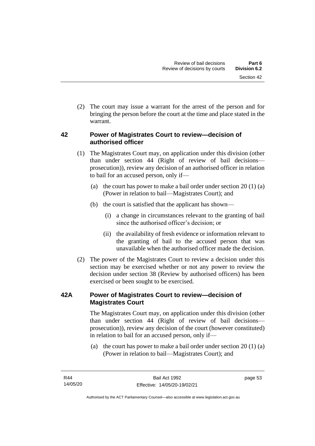(2) The court may issue a warrant for the arrest of the person and for bringing the person before the court at the time and place stated in the warrant.

# **42 Power of Magistrates Court to review—decision of authorised officer**

- (1) The Magistrates Court may, on application under this division (other than under section 44 (Right of review of bail decisions prosecution)), review any decision of an authorised officer in relation to bail for an accused person, only if—
	- (a) the court has power to make a bail order under section  $20(1)(a)$ (Power in relation to bail—Magistrates Court); and
	- (b) the court is satisfied that the applicant has shown—
		- (i) a change in circumstances relevant to the granting of bail since the authorised officer's decision; or
		- (ii) the availability of fresh evidence or information relevant to the granting of bail to the accused person that was unavailable when the authorised officer made the decision.
- (2) The power of the Magistrates Court to review a decision under this section may be exercised whether or not any power to review the decision under section 38 (Review by authorised officers) has been exercised or been sought to be exercised.

# **42A Power of Magistrates Court to review—decision of Magistrates Court**

The Magistrates Court may, on application under this division (other than under section 44 (Right of review of bail decisions prosecution)), review any decision of the court (however constituted) in relation to bail for an accused person, only if—

(a) the court has power to make a bail order under section 20 (1) (a) (Power in relation to bail—Magistrates Court); and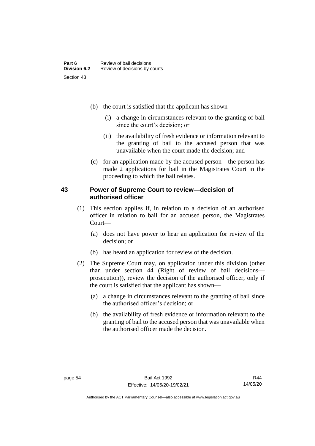- (b) the court is satisfied that the applicant has shown—
	- (i) a change in circumstances relevant to the granting of bail since the court's decision; or
	- (ii) the availability of fresh evidence or information relevant to the granting of bail to the accused person that was unavailable when the court made the decision; and
- (c) for an application made by the accused person—the person has made 2 applications for bail in the Magistrates Court in the proceeding to which the bail relates.

# **43 Power of Supreme Court to review—decision of authorised officer**

- (1) This section applies if, in relation to a decision of an authorised officer in relation to bail for an accused person, the Magistrates Court—
	- (a) does not have power to hear an application for review of the decision; or
	- (b) has heard an application for review of the decision.
- (2) The Supreme Court may, on application under this division (other than under section 44 (Right of review of bail decisions prosecution)), review the decision of the authorised officer, only if the court is satisfied that the applicant has shown—
	- (a) a change in circumstances relevant to the granting of bail since the authorised officer's decision; or
	- (b) the availability of fresh evidence or information relevant to the granting of bail to the accused person that was unavailable when the authorised officer made the decision.

Authorised by the ACT Parliamentary Counsel—also accessible at www.legislation.act.gov.au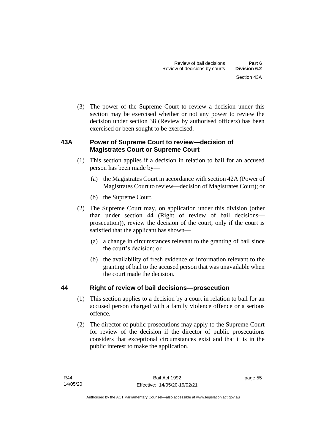(3) The power of the Supreme Court to review a decision under this section may be exercised whether or not any power to review the decision under section 38 (Review by authorised officers) has been exercised or been sought to be exercised.

# **43A Power of Supreme Court to review—decision of Magistrates Court or Supreme Court**

- (1) This section applies if a decision in relation to bail for an accused person has been made by—
	- (a) the Magistrates Court in accordance with section 42A (Power of Magistrates Court to review—decision of Magistrates Court); or
	- (b) the Supreme Court.
- (2) The Supreme Court may, on application under this division (other than under section 44 (Right of review of bail decisions prosecution)), review the decision of the court, only if the court is satisfied that the applicant has shown—
	- (a) a change in circumstances relevant to the granting of bail since the court's decision; or
	- (b) the availability of fresh evidence or information relevant to the granting of bail to the accused person that was unavailable when the court made the decision.

# **44 Right of review of bail decisions—prosecution**

- (1) This section applies to a decision by a court in relation to bail for an accused person charged with a family violence offence or a serious offence.
- (2) The director of public prosecutions may apply to the Supreme Court for review of the decision if the director of public prosecutions considers that exceptional circumstances exist and that it is in the public interest to make the application.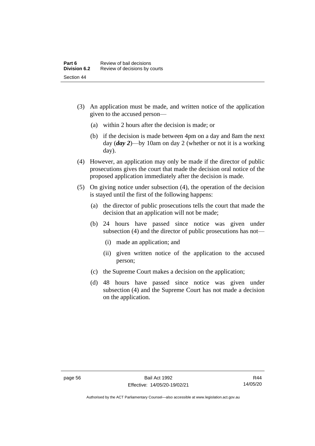- (3) An application must be made, and written notice of the application given to the accused person—
	- (a) within 2 hours after the decision is made; or
	- (b) if the decision is made between 4pm on a day and 8am the next day (*day 2*)—by 10am on day 2 (whether or not it is a working day).
- (4) However, an application may only be made if the director of public prosecutions gives the court that made the decision oral notice of the proposed application immediately after the decision is made.
- (5) On giving notice under subsection (4), the operation of the decision is stayed until the first of the following happens:
	- (a) the director of public prosecutions tells the court that made the decision that an application will not be made;
	- (b) 24 hours have passed since notice was given under subsection (4) and the director of public prosecutions has not—
		- (i) made an application; and
		- (ii) given written notice of the application to the accused person;
	- (c) the Supreme Court makes a decision on the application;
	- (d) 48 hours have passed since notice was given under subsection (4) and the Supreme Court has not made a decision on the application.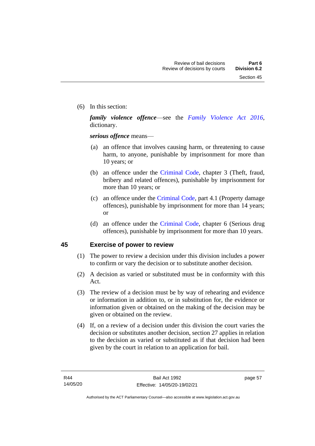(6) In this section:

*family violence offence*—see the *[Family Violence Act 2016](http://www.legislation.act.gov.au/a/2016-42)*, dictionary.

*serious offence* means—

- (a) an offence that involves causing harm, or threatening to cause harm, to anyone, punishable by imprisonment for more than 10 years; or
- (b) an offence under the [Criminal Code,](http://www.legislation.act.gov.au/a/2002-51) chapter 3 (Theft, fraud, bribery and related offences), punishable by imprisonment for more than 10 years; or
- (c) an offence under the [Criminal Code,](http://www.legislation.act.gov.au/a/2002-51) part 4.1 (Property damage offences), punishable by imprisonment for more than 14 years; or
- (d) an offence under the [Criminal Code,](http://www.legislation.act.gov.au/a/2002-51) chapter 6 (Serious drug offences), punishable by imprisonment for more than 10 years.

# **45 Exercise of power to review**

- (1) The power to review a decision under this division includes a power to confirm or vary the decision or to substitute another decision.
- (2) A decision as varied or substituted must be in conformity with this Act.
- (3) The review of a decision must be by way of rehearing and evidence or information in addition to, or in substitution for, the evidence or information given or obtained on the making of the decision may be given or obtained on the review.
- (4) If, on a review of a decision under this division the court varies the decision or substitutes another decision, section 27 applies in relation to the decision as varied or substituted as if that decision had been given by the court in relation to an application for bail.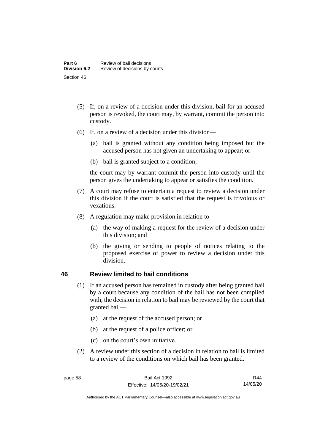- (5) If, on a review of a decision under this division, bail for an accused person is revoked, the court may, by warrant, commit the person into custody.
- (6) If, on a review of a decision under this division—
	- (a) bail is granted without any condition being imposed but the accused person has not given an undertaking to appear; or
	- (b) bail is granted subject to a condition;

the court may by warrant commit the person into custody until the person gives the undertaking to appear or satisfies the condition.

- (7) A court may refuse to entertain a request to review a decision under this division if the court is satisfied that the request is frivolous or vexatious.
- (8) A regulation may make provision in relation to—
	- (a) the way of making a request for the review of a decision under this division; and
	- (b) the giving or sending to people of notices relating to the proposed exercise of power to review a decision under this division.

# **46 Review limited to bail conditions**

- (1) If an accused person has remained in custody after being granted bail by a court because any condition of the bail has not been complied with, the decision in relation to bail may be reviewed by the court that granted bail—
	- (a) at the request of the accused person; or
	- (b) at the request of a police officer; or
	- (c) on the court's own initiative.
- (2) A review under this section of a decision in relation to bail is limited to a review of the conditions on which bail has been granted.

Authorised by the ACT Parliamentary Counsel—also accessible at www.legislation.act.gov.au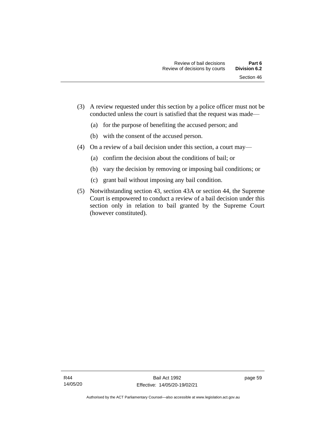- (a) for the purpose of benefiting the accused person; and
- (b) with the consent of the accused person.
- (4) On a review of a bail decision under this section, a court may—
	- (a) confirm the decision about the conditions of bail; or
	- (b) vary the decision by removing or imposing bail conditions; or
	- (c) grant bail without imposing any bail condition.
- (5) Notwithstanding section 43, section 43A or section 44, the Supreme Court is empowered to conduct a review of a bail decision under this section only in relation to bail granted by the Supreme Court (however constituted).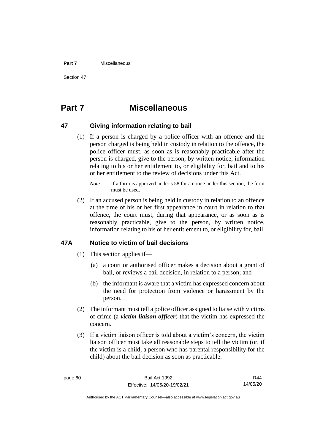#### **Part 7** Miscellaneous

Section 47

# **Part 7 Miscellaneous**

## **47 Giving information relating to bail**

(1) If a person is charged by a police officer with an offence and the person charged is being held in custody in relation to the offence, the police officer must, as soon as is reasonably practicable after the person is charged, give to the person, by written notice, information relating to his or her entitlement to, or eligibility for, bail and to his or her entitlement to the review of decisions under this Act.

(2) If an accused person is being held in custody in relation to an offence at the time of his or her first appearance in court in relation to that offence, the court must, during that appearance, or as soon as is reasonably practicable, give to the person, by written notice, information relating to his or her entitlement to, or eligibility for, bail.

# **47A Notice to victim of bail decisions**

- (1) This section applies if—
	- (a) a court or authorised officer makes a decision about a grant of bail, or reviews a bail decision, in relation to a person; and
	- (b) the informant is aware that a victim has expressed concern about the need for protection from violence or harassment by the person.
- (2) The informant must tell a police officer assigned to liaise with victims of crime (a *victim liaison officer*) that the victim has expressed the concern.
- (3) If a victim liaison officer is told about a victim's concern, the victim liaison officer must take all reasonable steps to tell the victim (or, if the victim is a child, a person who has parental responsibility for the child) about the bail decision as soon as practicable.

R44 14/05/20

*Note* If a form is approved under s 58 for a notice under this section, the form must be used.

Authorised by the ACT Parliamentary Counsel—also accessible at www.legislation.act.gov.au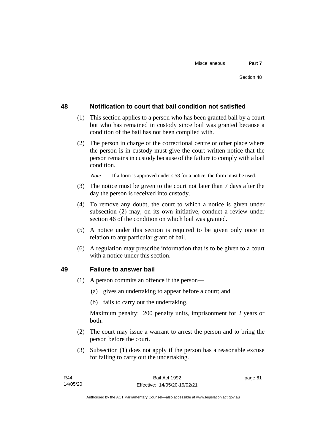# **48 Notification to court that bail condition not satisfied**

- (1) This section applies to a person who has been granted bail by a court but who has remained in custody since bail was granted because a condition of the bail has not been complied with.
- (2) The person in charge of the correctional centre or other place where the person is in custody must give the court written notice that the person remains in custody because of the failure to comply with a bail condition.

*Note* If a form is approved under s 58 for a notice, the form must be used.

- (3) The notice must be given to the court not later than 7 days after the day the person is received into custody.
- (4) To remove any doubt, the court to which a notice is given under subsection (2) may, on its own initiative, conduct a review under section 46 of the condition on which bail was granted.
- (5) A notice under this section is required to be given only once in relation to any particular grant of bail.
- (6) A regulation may prescribe information that is to be given to a court with a notice under this section.

#### **49 Failure to answer bail**

- (1) A person commits an offence if the person—
	- (a) gives an undertaking to appear before a court; and
	- (b) fails to carry out the undertaking.

Maximum penalty: 200 penalty units, imprisonment for 2 years or both.

- (2) The court may issue a warrant to arrest the person and to bring the person before the court.
- (3) Subsection (1) does not apply if the person has a reasonable excuse for failing to carry out the undertaking.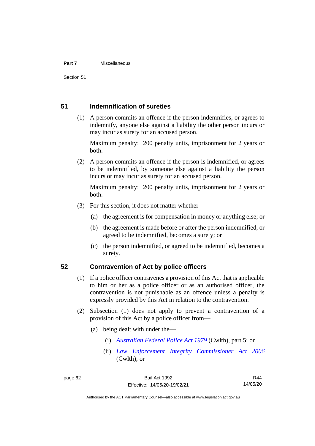#### **Part 7** Miscellaneous

Section 51

# **51 Indemnification of sureties**

(1) A person commits an offence if the person indemnifies, or agrees to indemnify, anyone else against a liability the other person incurs or may incur as surety for an accused person.

Maximum penalty: 200 penalty units, imprisonment for 2 years or both.

(2) A person commits an offence if the person is indemnified, or agrees to be indemnified, by someone else against a liability the person incurs or may incur as surety for an accused person.

Maximum penalty: 200 penalty units, imprisonment for 2 years or both.

- (3) For this section, it does not matter whether—
	- (a) the agreement is for compensation in money or anything else; or
	- (b) the agreement is made before or after the person indemnified, or agreed to be indemnified, becomes a surety; or
	- (c) the person indemnified, or agreed to be indemnified, becomes a surety.

## **52 Contravention of Act by police officers**

- (1) If a police officer contravenes a provision of this Act that is applicable to him or her as a police officer or as an authorised officer, the contravention is not punishable as an offence unless a penalty is expressly provided by this Act in relation to the contravention.
- (2) Subsection (1) does not apply to prevent a contravention of a provision of this Act by a police officer from—
	- (a) being dealt with under the—
		- (i) *[Australian Federal Police Act 1979](http://www.comlaw.gov.au/Series/C2004A02068)* (Cwlth), part 5; or
		- (ii) *[Law Enforcement Integrity Commissioner Act 2006](http://www.comlaw.gov.au/Series/C2006A00085)* (Cwlth); or

R44 14/05/20

Authorised by the ACT Parliamentary Counsel—also accessible at www.legislation.act.gov.au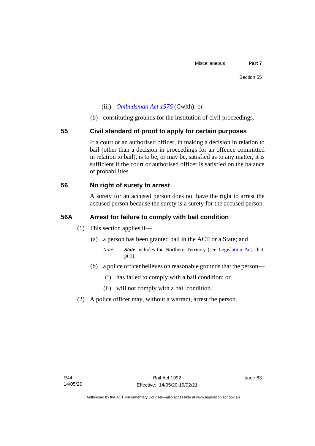- (iii) *[Ombudsman Act 1976](http://www.comlaw.gov.au/Series/C2004A01611)* (Cwlth); or
- (b) constituting grounds for the institution of civil proceedings.

## **55 Civil standard of proof to apply for certain purposes**

If a court or an authorised officer, in making a decision in relation to bail (other than a decision in proceedings for an offence committed in relation to bail), is to be, or may be, satisfied as to any matter, it is sufficient if the court or authorised officer is satisfied on the balance of probabilities.

# **56 No right of surety to arrest**

A surety for an accused person does not have the right to arrest the accused person because the surety is a surety for the accused person.

## **56A Arrest for failure to comply with bail condition**

- (1) This section applies if—
	- (a) a person has been granted bail in the ACT or a State; and
		- *Note State* includes the Northern Territory (see [Legislation Act,](http://www.legislation.act.gov.au/a/2001-14) dict, pt 1).
	- (b) a police officer believes on reasonable grounds that the person—
		- (i) has failed to comply with a bail condition; or
		- (ii) will not comply with a bail condition.
- (2) A police officer may, without a warrant, arrest the person.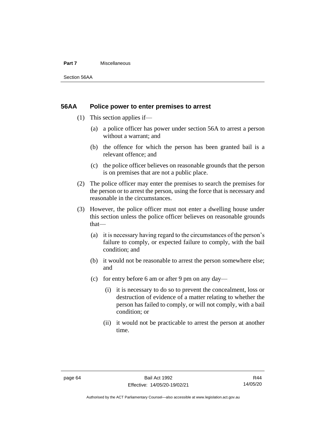#### **Part 7** Miscellaneous

Section 56AA

## **56AA Police power to enter premises to arrest**

- (1) This section applies if—
	- (a) a police officer has power under section 56A to arrest a person without a warrant; and
	- (b) the offence for which the person has been granted bail is a relevant offence; and
	- (c) the police officer believes on reasonable grounds that the person is on premises that are not a public place.
- (2) The police officer may enter the premises to search the premises for the person or to arrest the person, using the force that is necessary and reasonable in the circumstances.
- (3) However, the police officer must not enter a dwelling house under this section unless the police officer believes on reasonable grounds that—
	- (a) it is necessary having regard to the circumstances of the person's failure to comply, or expected failure to comply, with the bail condition; and
	- (b) it would not be reasonable to arrest the person somewhere else; and
	- (c) for entry before 6 am or after 9 pm on any day—
		- (i) it is necessary to do so to prevent the concealment, loss or destruction of evidence of a matter relating to whether the person has failed to comply, or will not comply, with a bail condition; or
		- (ii) it would not be practicable to arrest the person at another time.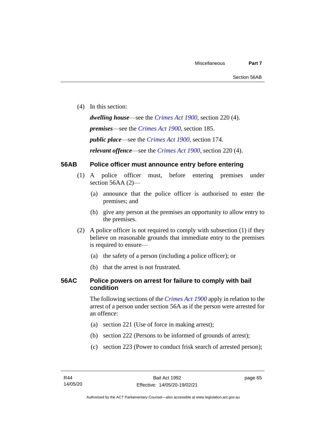(4) In this section:

*dwelling house*—see the *[Crimes Act](http://www.legislation.act.gov.au/a/1900-40) 1900*, section 220 (4).

*premises*—see the *[Crimes Act](http://www.legislation.act.gov.au/a/1900-40) 1900*, section 185.

*public place*—see the *[Crimes Act](http://www.legislation.act.gov.au/a/1900-40) 1900*, section 174.

*relevant offence*—see the *[Crimes Act 1900](http://www.legislation.act.gov.au/a/1900-40)*, section 220 (4).

### **56AB Police officer must announce entry before entering**

- (1) A police officer must, before entering premises under section 56AA (2)-
	- (a) announce that the police officer is authorised to enter the premises; and
	- (b) give any person at the premises an opportunity to allow entry to the premises.
- (2) A police officer is not required to comply with subsection (1) if they believe on reasonable grounds that immediate entry to the premises is required to ensure—
	- (a) the safety of a person (including a police officer); or
	- (b) that the arrest is not frustrated.

### **56AC Police powers on arrest for failure to comply with bail condition**

The following sections of the *[Crimes Act](http://www.legislation.act.gov.au/a/1900-40) 1900* apply in relation to the arrest of a person under section 56A as if the person were arrested for an offence:

- (a) section 221 (Use of force in making arrest);
- (b) section 222 (Persons to be informed of grounds of arrest);
- (c) section 223 (Power to conduct frisk search of arrested person);

page 65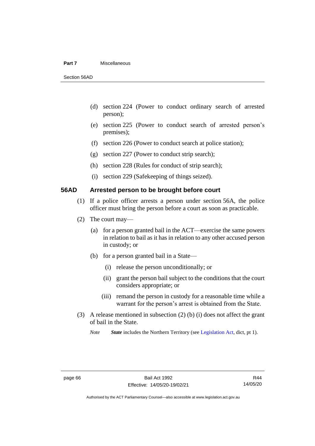#### **Part 7** Miscellaneous

Section 56AD

- (d) section 224 (Power to conduct ordinary search of arrested person);
- (e) section 225 (Power to conduct search of arrested person's premises);
- (f) section 226 (Power to conduct search at police station);
- (g) section 227 (Power to conduct strip search);
- (h) section 228 (Rules for conduct of strip search);
- (i) section 229 (Safekeeping of things seized).

### **56AD Arrested person to be brought before court**

- (1) If a police officer arrests a person under section 56A, the police officer must bring the person before a court as soon as practicable.
- (2) The court may—
	- (a) for a person granted bail in the ACT—exercise the same powers in relation to bail as it has in relation to any other accused person in custody; or
	- (b) for a person granted bail in a State—
		- (i) release the person unconditionally; or
		- (ii) grant the person bail subject to the conditions that the court considers appropriate; or
		- (iii) remand the person in custody for a reasonable time while a warrant for the person's arrest is obtained from the State.
- (3) A release mentioned in subsection (2) (b) (i) does not affect the grant of bail in the State.

*Note State* includes the Northern Territory (see [Legislation Act,](http://www.legislation.act.gov.au/a/2001-14) dict, pt 1).

Authorised by the ACT Parliamentary Counsel—also accessible at www.legislation.act.gov.au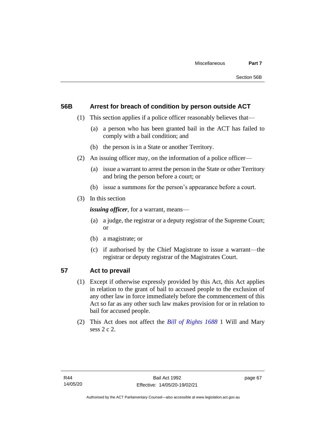### **56B Arrest for breach of condition by person outside ACT**

- (1) This section applies if a police officer reasonably believes that—
	- (a) a person who has been granted bail in the ACT has failed to comply with a bail condition; and
	- (b) the person is in a State or another Territory.
- (2) An issuing officer may, on the information of a police officer—
	- (a) issue a warrant to arrest the person in the State or other Territory and bring the person before a court; or
	- (b) issue a summons for the person's appearance before a court.
- (3) In this section

*issuing officer*, for a warrant, means—

- (a) a judge, the registrar or a deputy registrar of the Supreme Court; or
- (b) a magistrate; or
- (c) if authorised by the Chief Magistrate to issue a warrant—the registrar or deputy registrar of the Magistrates Court.

## **57 Act to prevail**

- (1) Except if otherwise expressly provided by this Act, this Act applies in relation to the grant of bail to accused people to the exclusion of any other law in force immediately before the commencement of this Act so far as any other such law makes provision for or in relation to bail for accused people.
- (2) This Act does not affect the *[Bill of Rights 1688](http://www.legislation.act.gov.au/a/db_1792/default.asp)* 1 Will and Mary sess 2 c 2.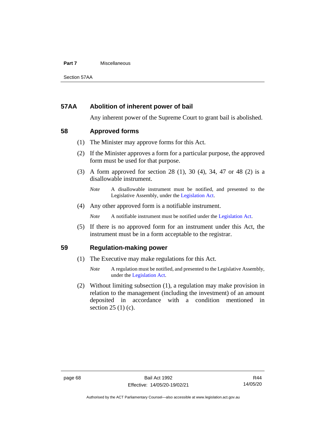#### **Part 7** Miscellaneous

Section 57AA

### **57AA Abolition of inherent power of bail**

Any inherent power of the Supreme Court to grant bail is abolished.

### **58 Approved forms**

- (1) The Minister may approve forms for this Act.
- (2) If the Minister approves a form for a particular purpose, the approved form must be used for that purpose.
- (3) A form approved for section 28 (1), 30 (4), 34, 47 or 48 (2) is a disallowable instrument.

(4) Any other approved form is a notifiable instrument.

*Note* A notifiable instrument must be notified under the [Legislation Act.](http://www.legislation.act.gov.au/a/2001-14)

(5) If there is no approved form for an instrument under this Act, the instrument must be in a form acceptable to the registrar.

### **59 Regulation-making power**

- (1) The Executive may make regulations for this Act.
	- *Note* A regulation must be notified, and presented to the Legislative Assembly, under the [Legislation Act.](http://www.legislation.act.gov.au/a/2001-14)
- (2) Without limiting subsection (1), a regulation may make provision in relation to the management (including the investment) of an amount deposited in accordance with a condition mentioned in section 25 (1) (c).

*Note* A disallowable instrument must be notified, and presented to the Legislative Assembly, under the [Legislation Act.](http://www.legislation.act.gov.au/a/2001-14)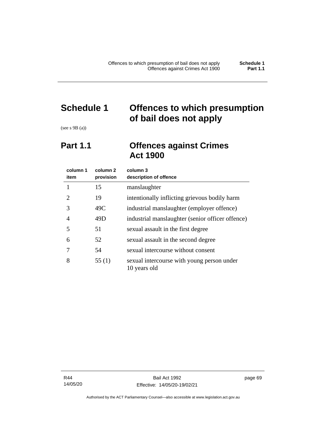# **Schedule 1 Offences to which presumption of bail does not apply**

(see s 9B (a))

# **Part 1.1 Offences against Crimes Act 1900**

| column 1<br>item | column 2<br>provision | column 3<br>description of offence                         |
|------------------|-----------------------|------------------------------------------------------------|
|                  | 15                    | manslaughter                                               |
| 2                | 19                    | intentionally inflicting grievous bodily harm              |
| 3                | 49C                   | industrial manslaughter (employer offence)                 |
| 4                | 49D                   | industrial manslaughter (senior officer offence)           |
| 5                | 51                    | sexual assault in the first degree                         |
| 6                | 52                    | sexual assault in the second degree                        |
| 7                | 54                    | sexual intercourse without consent                         |
| 8                | 55(1)                 | sexual intercourse with young person under<br>10 years old |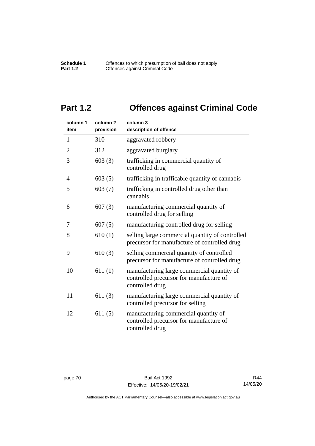# **Part 1.2 Offences against Criminal Code**

| column 1<br>item | column <sub>2</sub><br>provision | column 3<br>description of offence                                                                       |
|------------------|----------------------------------|----------------------------------------------------------------------------------------------------------|
| $\mathbf{1}$     | 310                              | aggravated robbery                                                                                       |
| $\overline{2}$   | 312                              | aggravated burglary                                                                                      |
| 3                | 603(3)                           | trafficking in commercial quantity of<br>controlled drug                                                 |
| 4                | 603(5)                           | trafficking in trafficable quantity of cannabis                                                          |
| 5                | 603(7)                           | trafficking in controlled drug other than<br>cannabis                                                    |
| 6                | 607(3)                           | manufacturing commercial quantity of<br>controlled drug for selling                                      |
| 7                | 607(5)                           | manufacturing controlled drug for selling                                                                |
| 8                | 610(1)                           | selling large commercial quantity of controlled<br>precursor for manufacture of controlled drug          |
| 9                | 610(3)                           | selling commercial quantity of controlled<br>precursor for manufacture of controlled drug                |
| 10               | 611(1)                           | manufacturing large commercial quantity of<br>controlled precursor for manufacture of<br>controlled drug |
| 11               | 611(3)                           | manufacturing large commercial quantity of<br>controlled precursor for selling                           |
| 12               | 611(5)                           | manufacturing commercial quantity of<br>controlled precursor for manufacture of<br>controlled drug       |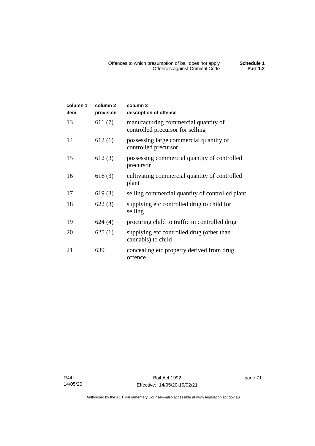| column 1<br>item | column <sub>2</sub><br>provision | column 3<br>description of offence                                       |
|------------------|----------------------------------|--------------------------------------------------------------------------|
| 13               | 611(7)                           | manufacturing commercial quantity of<br>controlled precursor for selling |
| 14               | 612(1)                           | possessing large commercial quantity of<br>controlled precursor          |
| 15               | 612(3)                           | possessing commercial quantity of controlled<br>precursor                |
| 16               | 616(3)                           | cultivating commercial quantity of controlled<br>plant                   |
| 17               | 619(3)                           | selling commercial quantity of controlled plant                          |
| 18               | 622(3)                           | supplying etc controlled drug to child for<br>selling                    |
| 19               | 624(4)                           | procuring child to traffic in controlled drug                            |
| 20               | 625(1)                           | supplying etc controlled drug (other than<br>cannabis) to child          |
| 21               | 639                              | concealing etc property derived from drug<br>offence                     |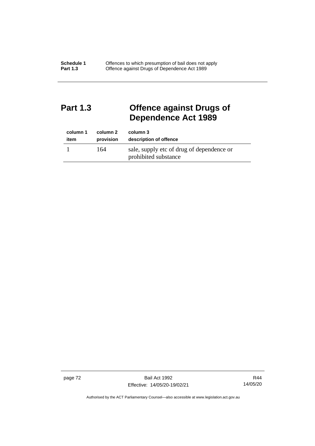# **Part 1.3 Offence against Drugs of Dependence Act 1989**

| column 1 | column 2  | column 3                                                          |
|----------|-----------|-------------------------------------------------------------------|
| item     | provision | description of offence                                            |
|          | 164       | sale, supply etc of drug of dependence or<br>prohibited substance |

page 72 Bail Act 1992 Effective: 14/05/20-19/02/21

R44 14/05/20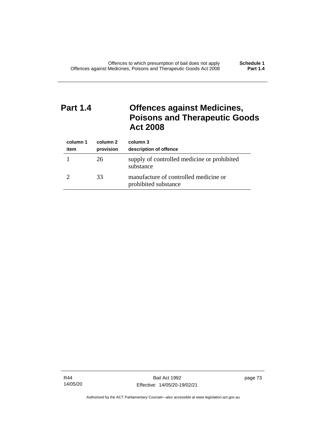# **Part 1.4 Offences against Medicines, Poisons and Therapeutic Goods Act 2008**

| column 1<br>item | column 2<br>provision | column 3<br>description of offence                            |
|------------------|-----------------------|---------------------------------------------------------------|
|                  | 26                    | supply of controlled medicine or prohibited<br>substance      |
|                  | 33                    | manufacture of controlled medicine or<br>prohibited substance |

R44 14/05/20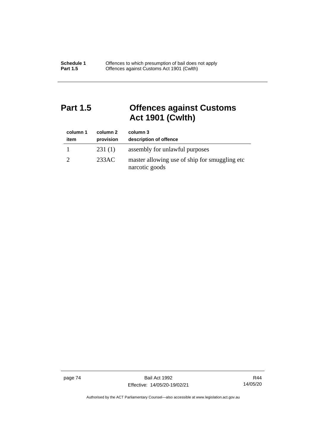# **Part 1.5 Offences against Customs Act 1901 (Cwlth)**

| column 1<br>item | column 2<br>provision | column 3<br>description of offence                               |
|------------------|-----------------------|------------------------------------------------------------------|
|                  | 231(1)                | assembly for unlawful purposes                                   |
|                  | 233AC                 | master allowing use of ship for smuggling etc.<br>narcotic goods |

page 74 Bail Act 1992 Effective: 14/05/20-19/02/21

R44 14/05/20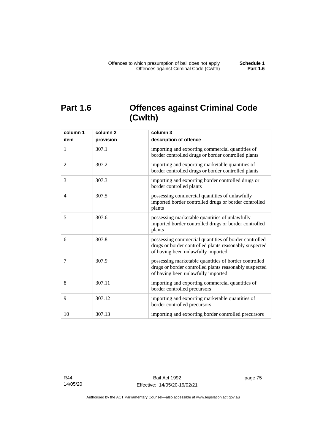# **Part 1.6 Offences against Criminal Code (Cwlth)**

| column 1       | column <sub>2</sub> | column 3                                                                                                                                              |
|----------------|---------------------|-------------------------------------------------------------------------------------------------------------------------------------------------------|
| item           | provision           | description of offence                                                                                                                                |
| 1              | 307.1               | importing and exporting commercial quantities of<br>border controlled drugs or border controlled plants                                               |
| $\overline{2}$ | 307.2               | importing and exporting marketable quantities of<br>border controlled drugs or border controlled plants                                               |
| 3              | 307.3               | importing and exporting border controlled drugs or<br>border controlled plants                                                                        |
| 4              | 307.5               | possessing commercial quantities of unlawfully<br>imported border controlled drugs or border controlled<br>plants                                     |
| 5              | 307.6               | possessing marketable quantities of unlawfully<br>imported border controlled drugs or border controlled<br>plants                                     |
| 6              | 307.8               | possessing commercial quantities of border controlled<br>drugs or border controlled plants reasonably suspected<br>of having been unlawfully imported |
| 7              | 307.9               | possessing marketable quantities of border controlled<br>drugs or border controlled plants reasonably suspected<br>of having been unlawfully imported |
| 8              | 307.11              | importing and exporting commercial quantities of<br>border controlled precursors                                                                      |
| 9              | 307.12              | importing and exporting marketable quantities of<br>border controlled precursors                                                                      |
| 10             | 307.13              | importing and exporting border controlled precursors                                                                                                  |

R44 14/05/20 page 75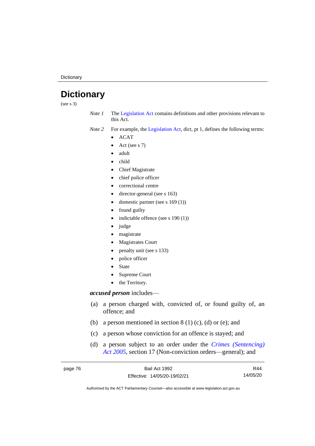**Dictionary** 

# **Dictionary**

(see s 3)

*Note 1* The [Legislation Act](http://www.legislation.act.gov.au/a/2001-14) contains definitions and other provisions relevant to this Act.

*Note 2* For example, the [Legislation Act,](http://www.legislation.act.gov.au/a/2001-14) dict, pt 1, defines the following terms:

- ACAT
- Act (see s 7)
- adult
- child
- Chief Magistrate
- chief police officer
- correctional centre
- director-general (see s 163)
- domestic partner (see s 169 (1))
- found guilty
- indictable offence (see s 190 (1))
- judge
- magistrate
- Magistrates Court
- penalty unit (see s 133)
- police officer
- **State**
- Supreme Court
- the Territory.

### *accused person* includes—

- (a) a person charged with, convicted of, or found guilty of, an offence; and
- (b) a person mentioned in section  $8(1)(c)$ , (d) or (e); and
- (c) a person whose conviction for an offence is stayed; and
- (d) a person subject to an order under the *[Crimes \(Sentencing\)](http://www.legislation.act.gov.au/a/2005-58)  Act [2005](http://www.legislation.act.gov.au/a/2005-58)*, section 17 (Non-conviction orders—general); and

| page 76 | Bail Act 1992                | R44      |
|---------|------------------------------|----------|
|         | Effective: 14/05/20-19/02/21 | 14/05/20 |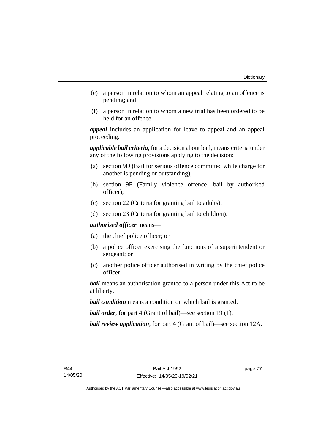- (e) a person in relation to whom an appeal relating to an offence is pending; and
- (f) a person in relation to whom a new trial has been ordered to be held for an offence.

*appeal* includes an application for leave to appeal and an appeal proceeding.

*applicable bail criteria*, for a decision about bail, means criteria under any of the following provisions applying to the decision:

- (a) section 9D (Bail for serious offence committed while charge for another is pending or outstanding);
- (b) section 9F (Family violence offence—bail by authorised officer);
- (c) section 22 (Criteria for granting bail to adults);
- (d) section 23 (Criteria for granting bail to children).

*authorised officer* means—

- (a) the chief police officer; or
- (b) a police officer exercising the functions of a superintendent or sergeant; or
- (c) another police officer authorised in writing by the chief police officer.

*bail* means an authorisation granted to a person under this Act to be at liberty.

*bail condition* means a condition on which bail is granted.

*bail order*, for part 4 (Grant of bail)—see section 19 (1).

*bail review application*, for part 4 (Grant of bail)—see section 12A.

page 77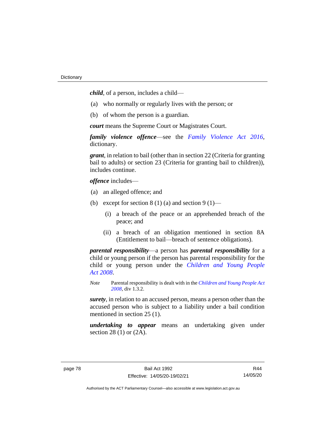*child*, of a person, includes a child—

- (a) who normally or regularly lives with the person; or
- (b) of whom the person is a guardian.

*court* means the Supreme Court or Magistrates Court.

*family violence offence*—see the *[Family Violence Act 2016](http://www.legislation.act.gov.au/a/2016-42)*, dictionary.

*grant*, in relation to bail (other than in section 22 (Criteria for granting bail to adults) or section 23 (Criteria for granting bail to children)), includes continue.

*offence* includes—

- (a) an alleged offence; and
- (b) except for section  $8(1)(a)$  and section  $9(1)$ 
	- (i) a breach of the peace or an apprehended breach of the peace; and
	- (ii) a breach of an obligation mentioned in section 8A (Entitlement to bail—breach of sentence obligations).

*parental responsibility*—a person has *parental responsibility* for a child or young person if the person has parental responsibility for the child or young person under the *Children and [Young People](http://www.legislation.act.gov.au/a/2008-19)  Act [2008](http://www.legislation.act.gov.au/a/2008-19)*.

*Note* Parental responsibility is dealt with in the *[Children and Young People Act](http://www.legislation.act.gov.au/a/2008-19)  [2008](http://www.legislation.act.gov.au/a/2008-19)*, div 1.3.2.

*surety*, in relation to an accused person, means a person other than the accused person who is subject to a liability under a bail condition mentioned in section 25 (1).

*undertaking to appear* means an undertaking given under section 28 (1) or (2A).

R44 14/05/20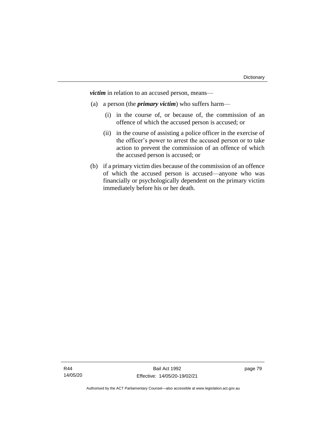*victim* in relation to an accused person, means—

- (a) a person (the *primary victim*) who suffers harm—
	- (i) in the course of, or because of, the commission of an offence of which the accused person is accused; or
	- (ii) in the course of assisting a police officer in the exercise of the officer's power to arrest the accused person or to take action to prevent the commission of an offence of which the accused person is accused; or
- (b) if a primary victim dies because of the commission of an offence of which the accused person is accused—anyone who was financially or psychologically dependent on the primary victim immediately before his or her death.

page 79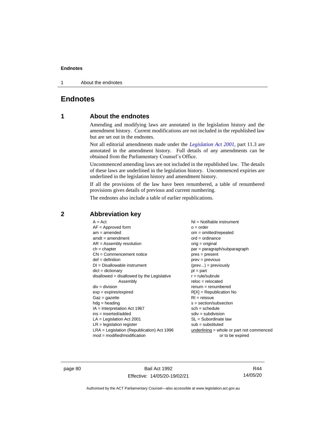1 About the endnotes

## **Endnotes**

### **1 About the endnotes**

Amending and modifying laws are annotated in the legislation history and the amendment history. Current modifications are not included in the republished law but are set out in the endnotes.

Not all editorial amendments made under the *[Legislation Act 2001](http://www.legislation.act.gov.au/a/2001-14)*, part 11.3 are annotated in the amendment history. Full details of any amendments can be obtained from the Parliamentary Counsel's Office.

Uncommenced amending laws are not included in the republished law. The details of these laws are underlined in the legislation history. Uncommenced expiries are underlined in the legislation history and amendment history.

If all the provisions of the law have been renumbered, a table of renumbered provisions gives details of previous and current numbering.

The endnotes also include a table of earlier republications.

| $A = Act$                                    | $NI =$ Notifiable instrument                |
|----------------------------------------------|---------------------------------------------|
| $AF =$ Approved form                         | $o = order$                                 |
| $am = amended$                               |                                             |
|                                              | $om = omitted/repealed$                     |
| $amdt = amendment$                           | $ord = ordinance$                           |
| $AR = Assembly resolution$                   | $orig = original$                           |
| $ch = chapter$                               | par = paragraph/subparagraph                |
| $CN =$ Commencement notice                   | $pres = present$                            |
| $def = definition$                           | $prev = previous$                           |
| $DI = Disallowable instrument$               | $(\text{prev}) = \text{previously}$         |
| $dict = dictionary$                          | $pt = part$                                 |
| $disallowed = disallowed by the Legislative$ | $r = rule/subrule$                          |
| Assembly                                     | $reloc = relocated$                         |
| $div = division$                             | $renum = renumbered$                        |
| $exp = expires/expired$                      | $R[X]$ = Republication No                   |
| $Gaz = gazette$                              | $RI = reissue$                              |
| $h dq =$ heading                             | $s = section/subsection$                    |
| $IA = Interpretation Act 1967$               | $sch = schedule$                            |
|                                              |                                             |
| ins = inserted/added                         | $sdiv = subdivision$                        |
| $LA =$ Legislation Act 2001                  | $SL = Subordinate$ law                      |
| $LR =$ legislation register                  | $sub =$ substituted                         |
| $LRA =$ Legislation (Republication) Act 1996 | $underlining = whole or part not commenced$ |
| $mod = modified/modification$                | or to be expired                            |

### **2 Abbreviation key**

page 80 Bail Act 1992 Effective: 14/05/20-19/02/21

R44 14/05/20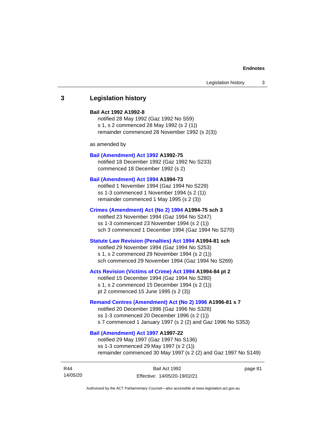### **3 Legislation history**

#### **Bail Act 1992 A1992-8**

notified 28 May 1992 (Gaz 1992 No S59) s 1, s 2 commenced 28 May 1992 (s 2 (1)) remainder commenced 28 November 1992 (s 2(3))

as amended by

#### **[Bail \(Amendment\) Act 1992](http://www.legislation.act.gov.au/a/1992-75) A1992-75**

notified 18 December 1992 (Gaz 1992 No S233) commenced 18 December 1992 (s 2)

#### **[Bail \(Amendment\) Act 1994](http://www.legislation.act.gov.au/a/1994-73) A1994-73**

notified 1 November 1994 (Gaz 1994 No S229) ss 1-3 commenced 1 November 1994 (s 2 (1)) remainder commenced 1 May 1995 (s 2 (3))

#### **[Crimes \(Amendment\) Act \(No 2\) 1994](http://www.legislation.act.gov.au/a/1994-75) A1994-75 sch 3**

notified 23 November 1994 (Gaz 1994 No S247) ss 1-3 commenced 23 November 1994 (s 2 (1)) sch 3 commenced 1 December 1994 (Gaz 1994 No S270)

#### **[Statute Law Revision \(Penalties\) Act 1994](http://www.legislation.act.gov.au/a/1994-81) A1994-81 sch**

notified 29 November 1994 (Gaz 1994 No S253) s 1, s 2 commenced 29 November 1994 (s 2 (1)) sch commenced 29 November 1994 (Gaz 1994 No S269)

#### **[Acts Revision \(Victims of Crime\) Act 1994](http://www.legislation.act.gov.au/a/1994-84) A1994-84 pt 2**

notified 15 December 1994 (Gaz 1994 No S280) s 1, s 2 commenced 15 December 1994 (s 2 (1)) pt 2 commenced 15 June 1995 (s 2 (3))

#### **[Remand Centres \(Amendment\) Act \(No 2\) 1996](http://www.legislation.act.gov.au/a/1996-81) A1996-81 s 7**

notified 20 December 1996 (Gaz 1996 No S328) ss 1-3 commenced 20 December 1996 (s 2 (1)) s 7 commenced 1 January 1997 (s 2 (2) and Gaz 1996 No S353)

### **[Bail \(Amendment\) Act 1997](http://www.legislation.act.gov.au/a/1997-22) A1997-22**

notified 29 May 1997 (Gaz 1997 No S136) ss 1-3 commenced 29 May 1997 (s 2 (1)) remainder commenced 30 May 1997 (s 2 (2) and Gaz 1997 No S149)

| R44      | Bail Act 1992                | page 81 |
|----------|------------------------------|---------|
| 14/05/20 | Effective: 14/05/20-19/02/21 |         |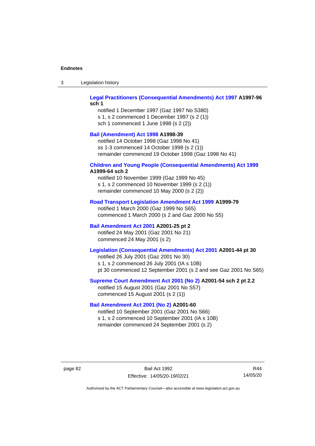| Legislation history<br>-3 |
|---------------------------|
|---------------------------|

#### **[Legal Practitioners \(Consequential Amendments\) Act 1997](http://www.legislation.act.gov.au/a/1997-96) A1997-96 sch 1**

notified 1 December 1997 (Gaz 1997 No S380) s 1, s 2 commenced 1 December 1997 (s 2 (1)) sch 1 commenced 1 June 1998 (s 2 (2))

### **[Bail \(Amendment\) Act 1998](http://www.legislation.act.gov.au/a/1998-39) A1998-39**

notified 14 October 1998 (Gaz 1998 No 41) ss 1-3 commenced 14 October 1998 (s 2 (1)) remainder commenced 19 October 1998 (Gaz 1998 No 41)

# **[Children and Young People \(Consequential Amendments\) Act 1999](http://www.legislation.act.gov.au/a/1999-64)**

### **A1999-64 sch 2**

notified 10 November 1999 (Gaz 1999 No 45) s 1, s 2 commenced 10 November 1999 (s 2 (1)) remainder commenced 10 May 2000 (s 2 (2))

#### **[Road Transport Legislation Amendment Act 1999](http://www.legislation.act.gov.au/a/1999-79) A1999-79**

notified 1 March 2000 (Gaz 1999 No S65) commenced 1 March 2000 (s 2 and Gaz 2000 No S5)

### **[Bail Amendment Act 2001](http://www.legislation.act.gov.au/a/2001-25) A2001-25 pt 2**

notified 24 May 2001 (Gaz 2001 No 21) commenced 24 May 2001 (s 2)

### **[Legislation \(Consequential Amendments\) Act 2001](http://www.legislation.act.gov.au/a/2001-44) A2001-44 pt 30**

notified 26 July 2001 (Gaz 2001 No 30) s 1, s 2 commenced 26 July 2001 (IA s 10B) pt 30 commenced 12 September 2001 (s 2 and see Gaz 2001 No S65)

#### **[Supreme Court Amendment Act 2001 \(No 2\)](http://www.legislation.act.gov.au/a/2001-54) A2001-54 sch 2 pt 2.2**

notified 15 August 2001 (Gaz 2001 No S57) commenced 15 August 2001 (s 2 (1))

#### **[Bail Amendment Act 2001 \(No 2\)](http://www.legislation.act.gov.au/a/2001-60) A2001-60**

notified 10 September 2001 (Gaz 2001 No S66) s 1, s 2 commenced 10 September 2001 (IA s 10B) remainder commenced 24 September 2001 (s 2)

page 82 Bail Act 1992 Effective: 14/05/20-19/02/21

R44 14/05/20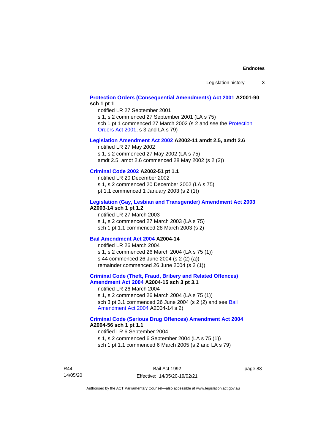### **[Protection Orders \(Consequential Amendments\) Act 2001](http://www.legislation.act.gov.au/a/2001-90) A2001-90 sch 1 pt 1**

notified LR 27 September 2001

s 1, s 2 commenced 27 September 2001 (LA s 75)

sch 1 pt 1 commenced 27 March 2002 (s 2 and see the Protection [Orders Act 2001,](http://www.legislation.act.gov.au/a/2001-89) s 3 and LA s 79)

#### **[Legislation Amendment Act 2002](http://www.legislation.act.gov.au/a/2002-11) A2002-11 amdt 2.5, amdt 2.6**

notified LR 27 May 2002 s 1, s 2 commenced 27 May 2002 (LA s 75) amdt 2.5, amdt 2.6 commenced 28 May 2002 (s 2 (2))

### **[Criminal Code 2002](http://www.legislation.act.gov.au/a/2002-51) A2002-51 pt 1.1**

notified LR 20 December 2002 s 1, s 2 commenced 20 December 2002 (LA s 75) pt 1.1 commenced 1 January 2003 (s 2 (1))

#### **[Legislation \(Gay, Lesbian and Transgender\) Amendment Act 2003](http://www.legislation.act.gov.au/a/2003-14) A2003-14 sch 1 pt 1.2**

notified LR 27 March 2003 s 1, s 2 commenced 27 March 2003 (LA s 75) sch 1 pt 1.1 commenced 28 March 2003 (s 2)

#### **[Bail Amendment Act 2004](http://www.legislation.act.gov.au/a/2004-14) A2004-14**

notified LR 26 March 2004 s 1, s 2 commenced 26 March 2004 (LA s 75 (1)) s 44 commenced 26 June 2004 (s 2 (2) (a)) remainder commenced 26 June 2004 (s 2 (1))

#### **[Criminal Code \(Theft, Fraud, Bribery and Related Offences\)](http://www.legislation.act.gov.au/a/2004-15)  [Amendment Act 2004](http://www.legislation.act.gov.au/a/2004-15) A2004-15 sch 3 pt 3.1**

notified LR 26 March 2004 s 1, s 2 commenced 26 March 2004 (LA s 75 (1)) sch 3 pt 3.1 commenced 26 June 2004 (s 2 (2) and see [Bail](http://www.legislation.act.gov.au/a/2004-14)  [Amendment Act 2004](http://www.legislation.act.gov.au/a/2004-14) A2004-14 s 2)

#### **[Criminal Code \(Serious Drug Offences\) Amendment Act 2004](http://www.legislation.act.gov.au/a/2004-56) A2004-56 sch 1 pt 1.1**

notified LR 6 September 2004 s 1, s 2 commenced 6 September 2004 (LA s 75 (1)) sch 1 pt 1.1 commenced 6 March 2005 (s 2 and LA s 79)

R44 14/05/20

Bail Act 1992 Effective: 14/05/20-19/02/21 page 83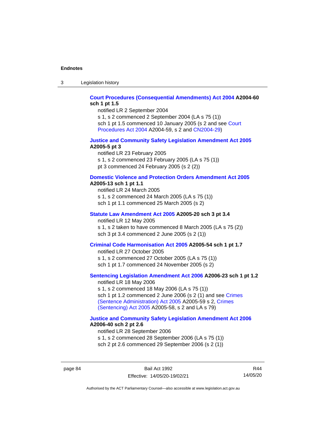3 Legislation history

#### **[Court Procedures \(Consequential Amendments\) Act 2004](http://www.legislation.act.gov.au/a/2004-60) A2004-60 sch 1 pt 1.5**

notified LR 2 September 2004

s 1, s 2 commenced 2 September 2004 (LA s 75 (1)) sch 1 pt 1.5 commenced 10 January 2005 (s 2 and see [Court](http://www.legislation.act.gov.au/a/2004-59)  [Procedures Act](http://www.legislation.act.gov.au/a/2004-59) 2004 A2004-59, s 2 and [CN2004-29\)](http://www.legislation.act.gov.au/cn/2004-29/default.asp)

#### **[Justice and Community Safety Legislation Amendment Act 2005](http://www.legislation.act.gov.au/a/2005-5) A2005-5 pt 3**

notified LR 23 February 2005 s 1, s 2 commenced 23 February 2005 (LA s 75 (1)) pt 3 commenced 24 February 2005 (s 2 (2))

#### **[Domestic Violence and Protection Orders Amendment Act 2005](http://www.legislation.act.gov.au/a/2005-13) A2005-13 sch 1 pt 1.1**

notified LR 24 March 2005 s 1, s 2 commenced 24 March 2005 (LA s 75 (1)) sch 1 pt 1.1 commenced 25 March 2005 (s 2)

### **[Statute Law Amendment Act 2005](http://www.legislation.act.gov.au/a/2005-20) A2005-20 sch 3 pt 3.4**

notified LR 12 May 2005

s 1, s 2 taken to have commenced 8 March 2005 (LA s 75 (2)) sch 3 pt 3.4 commenced 2 June 2005 (s 2 (1))

#### **[Criminal Code Harmonisation Act 2005](http://www.legislation.act.gov.au/a/2005-54) A2005-54 sch 1 pt 1.7**

notified LR 27 October 2005 s 1, s 2 commenced 27 October 2005 (LA s 75 (1)) sch 1 pt 1.7 commenced 24 November 2005 (s 2)

### **[Sentencing Legislation Amendment](http://www.legislation.act.gov.au/a/2006-23) Act 2006 A2006-23 sch 1 pt 1.2**

notified LR 18 May 2006 s 1, s 2 commenced 18 May 2006 (LA s 75 (1)) sch 1 pt 1.2 commenced 2 June 2006 (s 2 (1) and see [Crimes](http://www.legislation.act.gov.au/a/2005-59)  [\(Sentence Administration\) Act 2005](http://www.legislation.act.gov.au/a/2005-59) A2005-59 s 2, [Crimes](http://www.legislation.act.gov.au/a/2005-58)  [\(Sentencing\) Act 2005](http://www.legislation.act.gov.au/a/2005-58) A2005-58, s 2 and LA s 79)

#### **[Justice and Community Safety Legislation Amendment Act 2006](http://www.legislation.act.gov.au/a/2006-40) A2006-40 sch 2 pt 2.6**

notified LR 28 September 2006 s 1, s 2 commenced 28 September 2006 (LA s 75 (1)) sch 2 pt 2.6 commenced 29 September 2006 (s 2 (1))

page 84 Bail Act 1992 Effective: 14/05/20-19/02/21

R44 14/05/20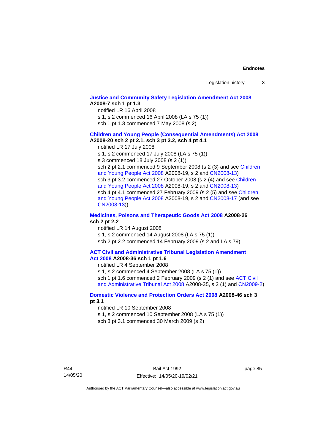### **[Justice and Community Safety Legislation Amendment Act 2008](http://www.legislation.act.gov.au/a/2008-7) A2008-7 sch 1 pt 1.3**

notified LR 16 April 2008

s 1, s 2 commenced 16 April 2008 (LA s 75 (1))

sch 1 pt 1.3 commenced 7 May 2008 (s 2)

#### **[Children and Young People \(Consequential Amendments\) Act 2008](http://www.legislation.act.gov.au/a/2008-20) A2008-20 sch 2 pt 2.1, sch 3 pt 3.2, sch 4 pt 4.1**

notified LR 17 July 2008

s 1, s 2 commenced 17 July 2008 (LA s 75 (1))

s 3 commenced 18 July 2008 (s 2 (1))

sch 2 pt 2.1 commenced 9 September 2008 (s 2 (3) and see Children [and Young People Act 2008](http://www.legislation.act.gov.au/a/2008-19) A2008-19, s 2 and [CN2008-13\)](http://www.legislation.act.gov.au/cn/2008-13/default.asp) sch 3 pt 3.2 commenced 27 October 2008 (s 2 (4) and see Children [and Young People Act 2008](http://www.legislation.act.gov.au/a/2008-19) A2008-19, s 2 and [CN2008-13\)](http://www.legislation.act.gov.au/cn/2008-13/default.asp) sch 4 pt 4.1 commenced 27 February 2009 (s 2 (5) and see [Children](http://www.legislation.act.gov.au/a/2008-19)  [and Young People Act 2008](http://www.legislation.act.gov.au/a/2008-19) A2008-19, s 2 and [CN2008-17 \(](http://www.legislation.act.gov.au/cn/2008-17/default.asp)and see [CN2008-13\)](http://www.legislation.act.gov.au/cn/2008-13/default.asp))

#### **[Medicines, Poisons and Therapeutic Goods Act](http://www.legislation.act.gov.au/a/2008-26#history) 2008 A2008-26 sch 2 pt 2.2**

notified LR 14 August 2008 s 1, s 2 commenced 14 August 2008 (LA s 75 (1)) sch 2 pt 2.2 commenced 14 February 2009 (s 2 and LA s 79)

#### **[ACT Civil and Administrative Tribunal Legislation Amendment](http://www.legislation.act.gov.au/a/2008-36)  Act [2008](http://www.legislation.act.gov.au/a/2008-36) A2008-36 sch 1 pt 1.6**

notified LR 4 September 2008

s 1, s 2 commenced 4 September 2008 (LA s 75 (1)) sch 1 pt 1.6 commenced 2 February 2009 (s 2 (1) and see ACT Civil [and Administrative Tribunal Act 2008](http://www.legislation.act.gov.au/a/2008-35) A2008-35, s 2 (1) and [CN2009-2\)](http://www.legislation.act.gov.au/cn/2009-2/default.asp)

#### **[Domestic Violence and Protection Orders Act 2008](http://www.legislation.act.gov.au/a/2008-46#history) A2008-46 sch 3 pt 3.1**

notified LR 10 September 2008

s 1, s 2 commenced 10 September 2008 (LA s 75 (1))

sch 3 pt 3.1 commenced 30 March 2009 (s 2)

page 85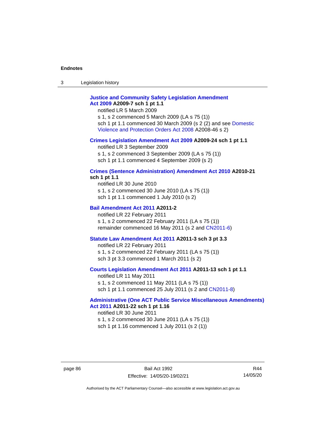3 Legislation history

### **[Justice and Community Safety Legislation Amendment](http://www.legislation.act.gov.au/a/2009-7)  Act [2009](http://www.legislation.act.gov.au/a/2009-7) A2009-7 sch 1 pt 1.1**

notified LR 5 March 2009

s 1, s 2 commenced 5 March 2009 (LA s 75 (1)) sch 1 pt 1.1 commenced 30 March 2009 (s 2 (2) and see [Domestic](http://www.legislation.act.gov.au/a/2008-46)  [Violence and Protection Orders Act 2008](http://www.legislation.act.gov.au/a/2008-46) A2008-46 s 2)

#### **[Crimes Legislation Amendment Act 2009](http://www.legislation.act.gov.au/a/2009-24) A2009-24 sch 1 pt 1.1**

notified LR 3 September 2009

s 1, s 2 commenced 3 September 2009 (LA s 75 (1))

sch 1 pt 1.1 commenced 4 September 2009 (s 2)

# **[Crimes \(Sentence Administration\) Amendment Act 2010](http://www.legislation.act.gov.au/a/2010-21) A2010-21**

**sch 1 pt 1.1**

notified LR 30 June 2010 s 1, s 2 commenced 30 June 2010 (LA s 75 (1)) sch 1 pt 1.1 commenced 1 July 2010 (s 2)

#### **[Bail Amendment Act 2011](http://www.legislation.act.gov.au/a/2011-2) A2011-2**

notified LR 22 February 2011 s 1, s 2 commenced 22 February 2011 (LA s 75 (1)) remainder commenced 16 May 2011 (s 2 and [CN2011-6\)](http://www.legislation.act.gov.au/cn/2011-6/default.asp)

#### **[Statute Law Amendment Act 2011](http://www.legislation.act.gov.au/a/2011-3) A2011-3 sch 3 pt 3.3**

notified LR 22 February 2011 s 1, s 2 commenced 22 February 2011 (LA s 75 (1)) sch 3 pt 3.3 commenced 1 March 2011 (s 2)

#### **[Courts Legislation Amendment Act 2011](http://www.legislation.act.gov.au/a/2011-13) A2011-13 sch 1 pt 1.1**

notified LR 11 May 2011 s 1, s 2 commenced 11 May 2011 (LA s 75 (1)) sch 1 pt 1.1 commenced 25 July 2011 (s 2 and [CN2011-8\)](http://www.legislation.act.gov.au/cn/2011-8/default.asp)

#### **[Administrative \(One ACT Public Service Miscellaneous Amendments\)](http://www.legislation.act.gov.au/a/2011-22)  Act [2011](http://www.legislation.act.gov.au/a/2011-22) A2011-22 sch 1 pt 1.16**

notified LR 30 June 2011 s 1, s 2 commenced 30 June 2011 (LA s 75 (1)) sch 1 pt 1.16 commenced 1 July 2011 (s 2 (1))

R44 14/05/20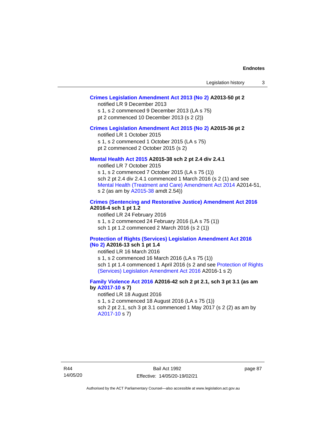### **[Crimes Legislation Amendment Act 2013 \(No 2\)](http://www.legislation.act.gov.au/a/2013-50) A2013-50 pt 2**

notified LR 9 December 2013

s 1, s 2 commenced 9 December 2013 (LA s 75)

pt 2 commenced 10 December 2013 (s 2 (2))

#### **[Crimes Legislation Amendment Act 2015 \(No 2\)](http://www.legislation.act.gov.au/a/2015-36) A2015-36 pt 2**

notified LR 1 October 2015

s 1, s 2 commenced 1 October 2015 (LA s 75)

pt 2 commenced 2 October 2015 (s 2)

#### **[Mental Health Act 2015](http://www.legislation.act.gov.au/a/2015-38#history) A2015-38 sch 2 pt 2.4 div 2.4.1**

notified LR 7 October 2015 s 1, s 2 commenced 7 October 2015 (LA s 75 (1)) sch 2 pt 2.4 div 2.4.1 commenced 1 March 2016 (s 2 (1) and see [Mental Health \(Treatment and Care\) Amendment Act 2014](http://www.legislation.act.gov.au/a/2014-51/default.asp) A2014-51, s 2 (as am by [A2015-38](http://www.legislation.act.gov.au/a/2015-38) amdt 2.54))

### **[Crimes \(Sentencing and Restorative Justice\) Amendment Act 2016](http://www.legislation.act.gov.au/a/2016-4/default.asp) A2016-4 sch 1 pt 1.2**

notified LR 24 February 2016 s 1, s 2 commenced 24 February 2016 (LA s 75 (1)) sch 1 pt 1.2 commenced 2 March 2016 (s 2 (1))

#### **[Protection of Rights \(Services\) Legislation Amendment Act 2016](http://www.legislation.act.gov.au/a/2016-13)  [\(No](http://www.legislation.act.gov.au/a/2016-13) 2) A2016-13 sch 1 pt 1.4**

notified LR 16 March 2016

s 1, s 2 commenced 16 March 2016 (LA s 75 (1)) sch 1 pt 1.4 commenced 1 April 2016 (s 2 and see [Protection of Rights](http://www.legislation.act.gov.au/a/2016-1/default.asp)  (Services) Legislation [Amendment Act 2016](http://www.legislation.act.gov.au/a/2016-1/default.asp) A2016-1 s 2)

### **[Family Violence Act 2016](http://www.legislation.act.gov.au/a/2016-42#history) A2016-42 sch 2 pt 2.1, sch 3 pt 3.1 (as am by [A2017-10](http://www.legislation.act.gov.au/a/2017-10/default.asp) s 7)**

notified LR 18 August 2016 s 1, s 2 commenced 18 August 2016 (LA s 75 (1)) sch 2 pt 2.1, sch 3 pt 3.1 commenced 1 May 2017 (s 2 (2) as am by [A2017-10](http://www.legislation.act.gov.au/a/2017-10/default.asp) s 7)

page 87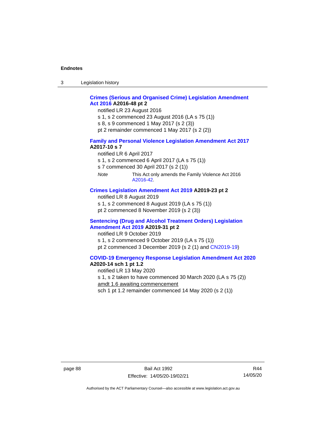3 Legislation history

### **[Crimes \(Serious and Organised Crime\) Legislation Amendment](http://www.legislation.act.gov.au/a/2016-48/default.asp)  Act [2016](http://www.legislation.act.gov.au/a/2016-48/default.asp) A2016-48 pt 2**

notified LR 23 August 2016

- s 1, s 2 commenced 23 August 2016 (LA s 75 (1))
- s 8, s 9 commenced 1 May 2017 (s 2 (3))
- pt 2 remainder commenced 1 May 2017 (s 2 (2))

#### **[Family and Personal Violence Legislation Amendment Act 2017](http://www.legislation.act.gov.au/a/2017-10/default.asp) A2017-10 s 7**

- notified LR 6 April 2017
- s 1, s 2 commenced 6 April 2017 (LA s 75 (1))
- s 7 commenced 30 April 2017 (s 2 (1))
- *Note* This Act only amends the Family Violence Act 2016 [A2016-42.](http://www.legislation.act.gov.au/a/2016-42/default.asp)

#### **[Crimes Legislation Amendment Act 2019](http://www.legislation.act.gov.au/a/2019-23) A2019-23 pt 2**

- notified LR 8 August 2019
- s 1, s 2 commenced 8 August 2019 (LA s 75 (1))
- pt 2 commenced 8 November 2019 (s 2 (3))

#### **[Sentencing \(Drug and Alcohol Treatment Orders\) Legislation](http://www.legislation.act.gov.au/a/2019-31)  [Amendment Act 2019](http://www.legislation.act.gov.au/a/2019-31) A2019-31 pt 2**

notified LR 9 October 2019

s 1, s 2 commenced 9 October 2019 (LA s 75 (1)) pt 2 commenced 3 December 2019 (s 2 (1) and [CN2019-19\)](https://www.legislation.act.gov.au/cn/2019-19/)

### **[COVID-19 Emergency Response Legislation Amendment Act 2020](http://www.legislation.act.gov.au/a/2020-14/)**

### **A2020-14 sch 1 pt 1.2**

notified LR 13 May 2020

s 1, s 2 taken to have commenced 30 March 2020 (LA s 75 (2))

amdt 1.6 awaiting commencement

sch 1 pt 1.2 remainder commenced 14 May 2020 (s 2 (1))

page 88 Bail Act 1992 Effective: 14/05/20-19/02/21

R44 14/05/20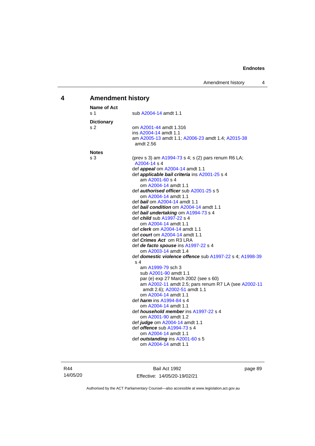# **4 Amendment history**

| Name of Act       |                                                                                              |
|-------------------|----------------------------------------------------------------------------------------------|
| s 1               | sub A2004-14 amdt 1.1                                                                        |
| <b>Dictionary</b> |                                                                                              |
| s 2               | om A2001-44 amdt 1.316                                                                       |
|                   | ins A2004-14 amdt 1.1                                                                        |
|                   | am A2005-13 amdt 1.1; A2006-23 amdt 1.4; A2015-38                                            |
|                   | amdt 2.56                                                                                    |
| <b>Notes</b>      |                                                                                              |
| s 3               | (prev s 3) am A1994-73 s 4; s (2) pars renum R6 LA;<br>A2004-14 s 4                          |
|                   | def <i>appeal</i> om A2004-14 amdt 1.1                                                       |
|                   | def applicable bail criteria ins A2001-25 s 4                                                |
|                   | am A2001-60 s 4                                                                              |
|                   | om A2004-14 amdt 1.1                                                                         |
|                   | def <b>authorised officer</b> sub A2001-25 s 5                                               |
|                   | om A2004-14 amdt 1.1                                                                         |
|                   | def bail om A2004-14 amdt 1.1                                                                |
|                   | def bail condition om A2004-14 amdt 1.1                                                      |
|                   | def bail undertaking om A1994-73 s 4                                                         |
|                   | def <i>child</i> sub A1997-22 s 4                                                            |
|                   | om A2004-14 amdt 1.1                                                                         |
|                   | def <i>clerk</i> om A2004-14 amdt 1.1                                                        |
|                   | def <i>court</i> om A2004-14 amdt 1.1                                                        |
|                   | def <i>Crimes Act</i> om R3 LRA                                                              |
|                   | def de facto spouse ins A1997-22 s 4                                                         |
|                   | om A2003-14 amdt 1.4                                                                         |
|                   | def domestic violence offence sub A1997-22 s 4; A1998-39                                     |
|                   | s 4                                                                                          |
|                   | am A1999-79 sch 3                                                                            |
|                   | sub A2001-90 amdt 1.1                                                                        |
|                   | par (e) exp 27 March 2002 (see s 60)<br>am A2002-11 amdt 2.5; pars renum R7 LA (see A2002-11 |
|                   | amdt 2.6); A2002-51 amdt 1.1                                                                 |
|                   | om A2004-14 amdt 1.1                                                                         |
|                   | def <i><b>harm</b></i> ins A1994-84 s 4                                                      |
|                   | om A2004-14 amdt 1.1                                                                         |
|                   | def <i>household member</i> ins A1997-22 s 4                                                 |
|                   | om A2001-90 amdt 1.2                                                                         |
|                   | def <i>judge</i> om A2004-14 amdt 1.1                                                        |
|                   | def <b>offence</b> sub A1994-73 s 4                                                          |
|                   | om A2004-14 amdt 1.1                                                                         |
|                   | def outstanding ins A2001-60 s 5                                                             |
|                   | om A2004-14 amdt 1.1                                                                         |
|                   |                                                                                              |

R44 14/05/20

Bail Act 1992 Effective: 14/05/20-19/02/21 page 89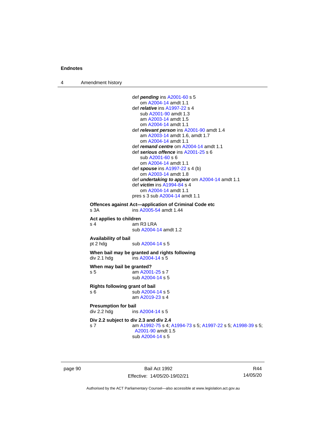4 Amendment history

```
def pending ins A2001-60 s 5
                    om A2004-14 amdt 1.1
                 def relative ins A1997-22 s 4
                    sub A2001-90 amdt 1.3
                    am A2003-14 amdt 1.5
                    om A2004-14 amdt 1.1
                 def relevant person ins A2001-90 amdt 1.4
                    am A2003-14 amdt 1.6, amdt 1.7
                    om A2004-14 amdt 1.1
                 def remand centre om A2004-14 amdt 1.1
                 def serious offence ins A2001-25 s 6
                    sub A2001-60 s 6
                    om A2004-14 amdt 1.1
                 def spouse ins A1997-22 s 4 (b)
                    om A2003-14 amdt 1.8
                 def undertaking to appear om A2004-14 amdt 1.1
                 def victim ins A1994-84 s 4
                    om A2004-14 amdt 1.1
                 pres s 3 sub A2004-14 amdt 1.1
Offences against Act—application of Criminal Code etc
s 3A  A2005-54 amdt 1.44
Act applies to children
s 4 am R3 LRA
                 sub A2004-14 amdt 1.2
Availability of bail
 A2004-14 s 5
When bail may be granted and rights following
div 2.1 hdg ins A2004-14 s 5When may bail be granted?
s 5 am A2001-25 s 7
                 sub A2004-14 s 5
Rights following grant of bail
s 6 sub A2004-14 s 5
                 am A2019-23 s 4
Presumption for bail<br>div 2.2 hdg ins
                  A2004-14 s 5
Div 2.2 subject to div 2.3 and div 2.4
s 7 am A1992-75 s 4; A1994-73 s 5; A1997-22 s 5; A1998-39 s 5; 
                  A2001-90 amdt 1.5
                 sub A2004-14 s 5
```
page 90 Bail Act 1992 Effective: 14/05/20-19/02/21

R44 14/05/20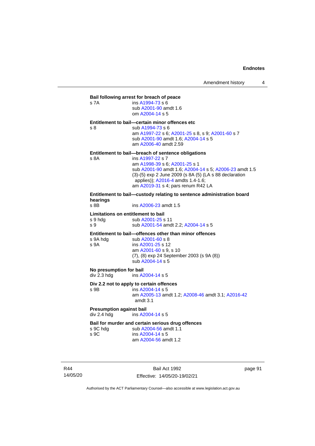| s 7A                                                 | Bail following arrest for breach of peace<br>ins A1994-73 s 6<br>sub A2001-90 amdt 1.6<br>om A2004-14 s 5                                                                                                                                                                                              |
|------------------------------------------------------|--------------------------------------------------------------------------------------------------------------------------------------------------------------------------------------------------------------------------------------------------------------------------------------------------------|
| s 8                                                  | Entitlement to bail-certain minor offences etc<br>sub A1994-73 s 6<br>am A1997-22 s 6; A2001-25 s 8, s 9; A2001-60 s 7<br>sub A2001-90 amdt 1.6; A2004-14 s 5<br>am A2006-40 amdt 2.59                                                                                                                 |
| s 8A                                                 | Entitlement to bail—breach of sentence obligations<br>ins A1997-22 s 7<br>am A1998-39 s 6; A2001-25 s 1<br>sub A2001-90 amdt 1.6; A2004-14 s 5; A2006-23 amdt 1.5<br>(3)-(5) exp 2 June 2009 (s 8A (5) (LA s 88 declaration<br>applies)); A2016-4 amdts 1.4-1.6;<br>am A2019-31 s 4; pars renum R42 LA |
| hearings<br>$s$ 8B                                   | Entitlement to bail—custody relating to sentence administration board<br>ins A2006-23 amdt 1.5                                                                                                                                                                                                         |
| Limitations on entitlement to bail<br>s 9 hda<br>s 9 | sub A2001-25 s 11<br>sub A2001-54 amdt 2.2; A2004-14 s 5                                                                                                                                                                                                                                               |
| s 9A hdg<br>s 9A                                     | Entitlement to bail-offences other than minor offences<br>sub A2001-60 s 8<br>ins A2001-25 s 12<br>am A2001-60 s 9, s 10<br>(7), (8) exp 24 September 2003 (s 9A (8))<br>sub A2004-14 s 5                                                                                                              |
| No presumption for bail<br>div 2.3 hdg               | ins A2004-14 s 5                                                                                                                                                                                                                                                                                       |
| s 9B                                                 | Div 2.2 not to apply to certain offences<br>ins A2004-14 s 5<br>am A2005-13 amdt 1.2; A2008-46 amdt 3.1; A2016-42<br>amdt $3.1$                                                                                                                                                                        |

**Presumption against bail**<br>div 2.4 hdg ins A20 ins [A2004-14](http://www.legislation.act.gov.au/a/2004-14) s 5

# **Bail for murder and certain serious drug offences**<br>s 9C hdg sub A2004-56 amdt 1.1

s 9C hdg sub [A2004-56](http://www.legislation.act.gov.au/a/2004-56) amdt 1.1<br>s 9C ins A2004-14 s 5 ins [A2004-14](http://www.legislation.act.gov.au/a/2004-14) s 5 am [A2004-56](http://www.legislation.act.gov.au/a/2004-56) amdt 1.2

R44 14/05/20

Bail Act 1992 Effective: 14/05/20-19/02/21 page 91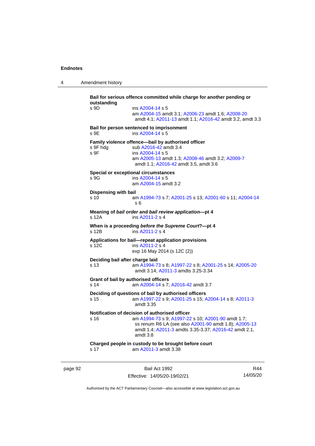4 Amendment history

**Bail for serious offence committed while charge for another pending or outstanding** s 9D ins [A2004-14](http://www.legislation.act.gov.au/a/2004-14) s 5 am [A2004-15](http://www.legislation.act.gov.au/a/2004-15) amdt 3.1[; A2006-23](http://www.legislation.act.gov.au/a/2006-23) amdt 1.6; [A2008-20](http://www.legislation.act.gov.au/a/2008-20) amdt 4.1; [A2011-13](http://www.legislation.act.gov.au/a/2011-13) amdt 1.1[; A2016-42](http://www.legislation.act.gov.au/a/2016-42/default.asp) amdt 3.2, amdt 3.3 **Bail for person sentenced to imprisonment** s 9E ins [A2004-14](http://www.legislation.act.gov.au/a/2004-14) s 5 **Family violence offence—bail by authorised officer**<br>s 9F hdg sub A2016-42 amdt 3.4 sub [A2016-42](http://www.legislation.act.gov.au/a/2016-42/default.asp) amdt 3.4 s 9F ins [A2004-14](http://www.legislation.act.gov.au/a/2004-14) s 5 am [A2005-13](http://www.legislation.act.gov.au/a/2005-13) amdt 1.3[; A2008-46](http://www.legislation.act.gov.au/a/2008-46) amdt 3.2; [A2009-7](http://www.legislation.act.gov.au/a/2009-7) amdt 1.1; [A2016-42](http://www.legislation.act.gov.au/a/2016-42/default.asp) amdt 3.5, amdt 3.6 **Special or exceptional circumstances** s 9G ins [A2004-14](http://www.legislation.act.gov.au/a/2004-14) s 5 am [A2004-15](http://www.legislation.act.gov.au/a/2004-15) amdt 3.2 **Dispensing with bail** s 10 am [A1994-73](http://www.legislation.act.gov.au/a/1994-73) s 7[; A2001-25](http://www.legislation.act.gov.au/a/2001-25) s 13; [A2001-60](http://www.legislation.act.gov.au/a/2001-60) s 11[; A2004-14](http://www.legislation.act.gov.au/a/2004-14) s 6 **Meaning of** *bail order* **and** *bail review application***—pt 4** ins [A2011-2](http://www.legislation.act.gov.au/a/2011-2) s 4 **When is a proceeding** *before the Supreme Court***?—pt 4** s 12B ins [A2011-2](http://www.legislation.act.gov.au/a/2011-2) s 4 **Applications for bail—repeat application provisions** ins [A2011-2](http://www.legislation.act.gov.au/a/2011-2) s 4 exp 16 May 2014 (s 12C (2)) **Deciding bail after charge laid** s 13 am [A1994-73](http://www.legislation.act.gov.au/a/1994-73) s 8[; A1997-22](http://www.legislation.act.gov.au/a/1997-22) s 8; [A2001-25](http://www.legislation.act.gov.au/a/2001-25) s 14[; A2005-20](http://www.legislation.act.gov.au/a/2005-20) amdt 3.14; [A2011-3](http://www.legislation.act.gov.au/a/2011-3) amdts 3.25-3.34 **Grant of bail by authorised officers** s 14 am [A2004-14](http://www.legislation.act.gov.au/a/2004-14) s 7[; A2016-42](http://www.legislation.act.gov.au/a/2016-42/default.asp) amdt 3.7 **Deciding of questions of bail by authorised officers** s 15 am [A1997-22](http://www.legislation.act.gov.au/a/1997-22) s 9[; A2001-25](http://www.legislation.act.gov.au/a/2001-25) s 15; [A2004-14](http://www.legislation.act.gov.au/a/2004-14) s 8[; A2011-3](http://www.legislation.act.gov.au/a/2011-3) amdt 3.35 **Notification of decision of authorised officer**<br>s 16 am A1994-73 s 9: A1997-22 am [A1994-73](http://www.legislation.act.gov.au/a/1994-73) s 9[; A1997-22](http://www.legislation.act.gov.au/a/1997-22) s 10; [A2001-90](http://www.legislation.act.gov.au/a/2001-90) amdt 1.7; ss renum R6 LA (see also [A2001-90](http://www.legislation.act.gov.au/a/2001-90) amdt 1.8)[; A2005-13](http://www.legislation.act.gov.au/a/2005-13) amdt 1.4; [A2011-3](http://www.legislation.act.gov.au/a/2011-3) amdts 3.35-3.37[; A2016-42](http://www.legislation.act.gov.au/a/2016-42/default.asp) amdt 2.1, amdt 3.8 **Charged people in custody to be brought before court** s 17 am [A2011-3](http://www.legislation.act.gov.au/a/2011-3) amdt 3.38

page 92 Bail Act 1992 Effective: 14/05/20-19/02/21

R44 14/05/20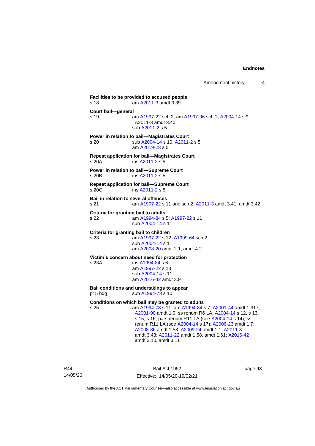**Facilities to be provided to accused people** s 18 am [A2011-3](http://www.legislation.act.gov.au/a/2011-3) amdt 3.39 **Court bail—general** s 19 **am [A1997-22](http://www.legislation.act.gov.au/a/1997-22) sch 2; am [A1997-96](http://www.legislation.act.gov.au/a/1997-96) sch 1; [A2004-14](http://www.legislation.act.gov.au/a/2004-14) s 9;** [A2011-3](http://www.legislation.act.gov.au/a/2011-3) amdt 3.40 sub [A2011-2](http://www.legislation.act.gov.au/a/2011-2) s 5 **Power in relation to bail—Magistrates Court** s 20 sub [A2004-14](http://www.legislation.act.gov.au/a/2004-14) s 10[; A2011-2](http://www.legislation.act.gov.au/a/2011-2) s 5 am [A2019-23](http://www.legislation.act.gov.au/a/2019-23/default.asp) s 5 **Repeat application for bail—Magistrates Court** s 20A ins [A2011-2](http://www.legislation.act.gov.au/a/2011-2) s 5 **Power in relation to bail—Supreme Court** s 20B ins [A2011-2](http://www.legislation.act.gov.au/a/2011-2) s 5 **Repeat application for bail—Supreme Court** s 20C ins [A2011-2](http://www.legislation.act.gov.au/a/2011-2) s 5 **Bail in relation to several offences** s 21 am [A1997-22](http://www.legislation.act.gov.au/a/1997-22) s 11 and sch 2; [A2011-3](http://www.legislation.act.gov.au/a/2011-3) amdt 3.41, amdt 3.42 **Criteria for granting bail to adults** s 22 am [A1994-84](http://www.legislation.act.gov.au/a/1994-84) s 5[; A1997-22](http://www.legislation.act.gov.au/a/1997-22) s 11 sub [A2004-14](http://www.legislation.act.gov.au/a/2004-14) s 11 **Criteria for granting bail to children** s 23 am [A1997-22](http://www.legislation.act.gov.au/a/1997-22) s 12[; A1999-64](http://www.legislation.act.gov.au/a/1999-64) sch 2 sub [A2004-14](http://www.legislation.act.gov.au/a/2004-14) s 11 am [A2008-20](http://www.legislation.act.gov.au/a/2008-20) amdt 2.1, amdt 4.2 **Victim's concern about need for protection** s 23A ins [A1994-84](http://www.legislation.act.gov.au/a/1994-84) s 6 am [A1997-22](http://www.legislation.act.gov.au/a/1997-22) s 13 sub [A2004-14](http://www.legislation.act.gov.au/a/2004-14) s 11 am [A2016-42](http://www.legislation.act.gov.au/a/2016-42/default.asp) amdt 3.9 **Bail conditions and undertakings to appear** pt 5 hdg sub  $A1994-73$  s 10 **Conditions on which bail may be granted to adults** s 25 am [A1994-73](http://www.legislation.act.gov.au/a/1994-73) s 11; a[m A1994-84](http://www.legislation.act.gov.au/a/1994-84) s 7; [A2001-44](http://www.legislation.act.gov.au/a/2001-44) amdt 1.317; [A2001-90](http://www.legislation.act.gov.au/a/2001-90) amdt 1.9; ss renum R6 LA; [A2004-14](http://www.legislation.act.gov.au/a/2004-14) s 12, s 13, s 15, s 16; pars renum R11 LA (see [A2004-14](http://www.legislation.act.gov.au/a/2004-14) s 14); ss renum R11 LA (see [A2004-14](http://www.legislation.act.gov.au/a/2004-14) s 17); [A2006-23](http://www.legislation.act.gov.au/a/2006-23) amdt 1.7; [A2008-36](http://www.legislation.act.gov.au/a/2008-36) amdt 1.58[; A2009-24](http://www.legislation.act.gov.au/a/2009-24) amdt 1.1; [A2011-3](http://www.legislation.act.gov.au/a/2011-3) amdt 3.43; [A2011-22](http://www.legislation.act.gov.au/a/2011-22) amdt 1.58, amdt 1.61[; A2016-42](http://www.legislation.act.gov.au/a/2016-42/default.asp)

amdt 3.10, amdt 3.11

R44 14/05/20

Bail Act 1992 Effective: 14/05/20-19/02/21 page 93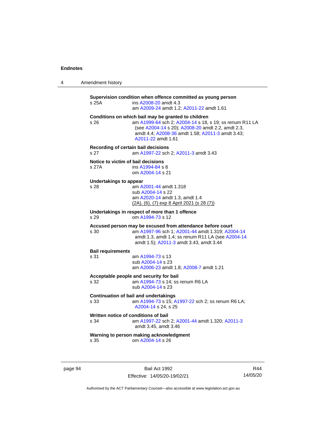| 4 | Amendment history |  |
|---|-------------------|--|
|---|-------------------|--|

| s 25A                                                                      | Supervision condition when offence committed as young person<br>ins A2008-20 amdt 4.3<br>am A2009-24 amdt 1.2; A2011-22 amdt 1.61                                                                                                             |  |
|----------------------------------------------------------------------------|-----------------------------------------------------------------------------------------------------------------------------------------------------------------------------------------------------------------------------------------------|--|
| s 26                                                                       | Conditions on which bail may be granted to children<br>am A1999-64 sch 2; A2004-14 s 18, s 19; ss renum R11 LA<br>(see A2004-14 s 20); A2008-20 amdt 2.2, amdt 2.3,<br>amdt 4.4; A2008-36 amdt 1.58; A2011-3 amdt 3.43;<br>A2011-22 amdt 1.61 |  |
| Recording of certain bail decisions<br>s 27                                | am A1997-22 sch 2; A2011-3 amdt 3.43                                                                                                                                                                                                          |  |
| Notice to victim of bail decisions<br>s 27A                                | ins A1994-84 s 8<br>om A2004-14 s 21                                                                                                                                                                                                          |  |
| Undertakings to appear<br>s 28                                             | am A2001-44 amdt 1.318<br>sub A2004-14 s 22<br>am A2020-14 amdt 1.3, amdt 1.4<br>(2A), (6), (7) exp 8 April 2021 (s 28 (7))                                                                                                                   |  |
| Undertakings in respect of more than 1 offence<br>om A1994-73 s 12<br>s 29 |                                                                                                                                                                                                                                               |  |
| s 30                                                                       | Accused person may be excused from attendance before court<br>am A1997-96 sch 1; A2001-44 amdt 1.319; A2004-14<br>amdt 1.3, amdt 1.4; ss renum R11 LA (see A2004-14<br>amdt 1.5); A2011-3 amdt 3.43, amdt 3.44                                |  |
| <b>Bail requirements</b><br>s 31                                           | am A1994-73 s 13<br>sub A2004-14 s 23<br>am A2006-23 amdt 1.8; A2008-7 amdt 1.21                                                                                                                                                              |  |
| s 32                                                                       | Acceptable people and security for bail<br>am A1994-73 s 14; ss renum R6 LA<br>sub A2004-14 s 23                                                                                                                                              |  |
| s 33                                                                       | <b>Continuation of bail and undertakings</b><br>am A1994-73 s 15; A1997-22 sch 2; ss renum R6 LA;<br>A2004-14 s 24. s 25                                                                                                                      |  |
| Written notice of conditions of bail<br>s 34                               | am A1997-22 sch 2; A2001-44 amdt 1.320; A2011-3<br>amdt 3.45, amdt 3.46                                                                                                                                                                       |  |
| s 35                                                                       | Warning to person making acknowledgment<br>om A2004-14 s 26                                                                                                                                                                                   |  |
|                                                                            |                                                                                                                                                                                                                                               |  |

page 94 Bail Act 1992 Effective: 14/05/20-19/02/21

R44 14/05/20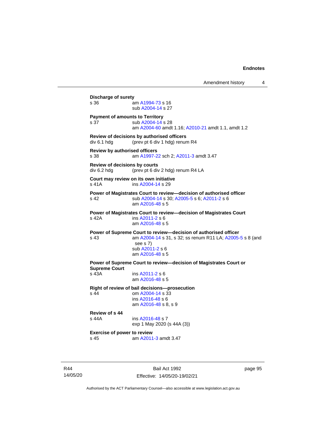Amendment history 4 **Discharge of surety** s 36 am [A1994-73](http://www.legislation.act.gov.au/a/1994-73) s 16 sub [A2004-14](http://www.legislation.act.gov.au/a/2004-14) s 27 **Payment of amounts to Territory** s 37 sub [A2004-14](http://www.legislation.act.gov.au/a/2004-14) s 28 am [A2004-60](http://www.legislation.act.gov.au/a/2004-60) amdt 1.16[; A2010-21](http://www.legislation.act.gov.au/a/2010-21) amdt 1.1, amdt 1.2 **Review of decisions by authorised officers** div 6.1 hdg (prev pt 6 div 1 hdg) renum R4 **Review by authorised officers** s 38 am [A1997-22](http://www.legislation.act.gov.au/a/1997-22) sch 2; [A2011-3](http://www.legislation.act.gov.au/a/2011-3) amdt 3.47 **Review of decisions by courts** div 6.2 hdg (prev pt 6 div 2 hdg) renum R4 LA **Court may review on its own initiative** s 41A **ins [A2004-14](http://www.legislation.act.gov.au/a/2004-14) s 29 Power of Magistrates Court to review—decision of authorised officer** s 42 sub [A2004-14](http://www.legislation.act.gov.au/a/2004-14) s 30[; A2005-5](http://www.legislation.act.gov.au/a/2005-5) s 6; [A2011-2](http://www.legislation.act.gov.au/a/2011-2) s 6 am [A2016-48](http://www.legislation.act.gov.au/a/2016-48/default.asp) s 5 **Power of Magistrates Court to review—decision of Magistrates Court** s 42A ins [A2011-2](http://www.legislation.act.gov.au/a/2011-2) s 6 am [A2016-48](http://www.legislation.act.gov.au/a/2016-48/default.asp) s 5 **Power of Supreme Court to review—decision of authorised officer** s 43 am [A2004-14](http://www.legislation.act.gov.au/a/2004-14) s 31, s 32; ss renum R11 LA; [A2005-5](http://www.legislation.act.gov.au/a/2005-5) s 8 (and see s 7) sub [A2011-2](http://www.legislation.act.gov.au/a/2011-2) s 6 am [A2016-48](http://www.legislation.act.gov.au/a/2016-48/default.asp) s 5 **Power of Supreme Court to review—decision of Magistrates Court or Supreme Court** s 43A ins [A2011-2](http://www.legislation.act.gov.au/a/2011-2) s 6 am [A2016-48](http://www.legislation.act.gov.au/a/2016-48/default.asp) s 5 **Right of review of bail decisions—prosecution** om  $A2004 - 14$  s  $33$ ins [A2016-48](http://www.legislation.act.gov.au/a/2016-48/default.asp) s 6 am [A2016-48](http://www.legislation.act.gov.au/a/2016-48/default.asp) s 8, s 9 **Review of s 44** ins [A2016-48](http://www.legislation.act.gov.au/a/2016-48/default.asp) s 7 exp 1 May 2020 (s 44A (3)) **Exercise of power to review** s 45 am [A2011-3](http://www.legislation.act.gov.au/a/2011-3) amdt 3.47

R44 14/05/20

Bail Act 1992 Effective: 14/05/20-19/02/21 page 95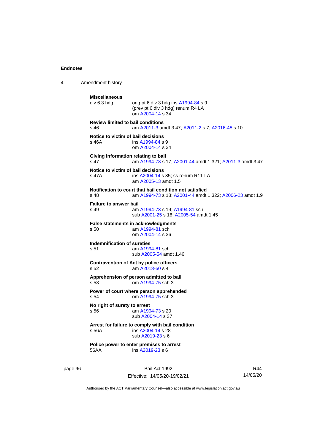4 Amendment history

```
Miscellaneous
                 orig pt 6 div 3 hdg ins A1994-84 s 9
                 (prev pt 6 div 3 hdg) renum R4 LA
                 om A2004-14 s 34
Review limited to bail conditions
s 46 am A2011-3 amdt 3.47; A2011-2 s 7; A2016-48 s 10
Notice to victim of bail decisions
s 46A  A1994-84 s 9
                om A2004-14 s 34
Giving information relating to bail
s 47 am A1994-73 s 17; A2001-44 amdt 1.321; A2011-3 amdt 3.47
Notice to victim of bail decisions
s 47A ins A2004-14 s 35; ss renum R11 LA
                 am A2005-13 amdt 1.5
Notification to court that bail condition not satisfied
s 48 am A1994-73 s 18; A2001-44 amdt 1.322; A2006-23 amdt 1.9
Failure to answer bail
s 49 am A1994-73 s 19; A1994-81 sch
                sub A2001-25 s 16; A2005-54 amdt 1.45
False statements in acknowledgments<br>s 50 am A1994-81 sch
                 am A1994-81 sch
                 om A2004-14 s 36
Indemnification of sureties
s 51 am A1994-81 sch
                sub A2005-54 amdt 1.46
Contravention of Act by police officers
s 52 am A2013-50 s 4
Apprehension of person admitted to bail
s 53 om A1994-75 sch 3
Power of court where person apprehended
s 54 om A1994-75 sch 3
No right of surety to arrest<br>s 56 am A199
                  A1994-73 s 20
                 sub A2004-14 s 37
Arrest for failure to comply with bail condition
s 56A ins A2004-14 s 28
                 sub A2019-23 s 6
Police power to enter premises to arrest
56AA ins A2019-23 s 6
```
page 96 Bail Act 1992 Effective: 14/05/20-19/02/21

R44 14/05/20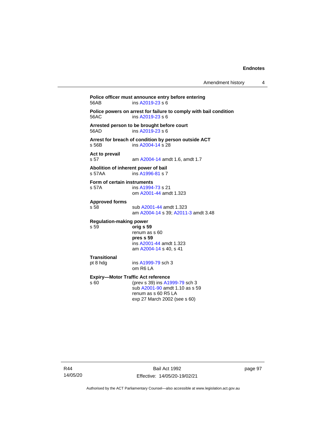**Police officer must announce entry before entering**<br>56AB **post ins A2019-23** s 6  $ins$  [A2019-23](http://www.legislation.act.gov.au/a/2019-23/default.asp) s 6 **Police powers on arrest for failure to comply with bail condition** 56AC ins [A2019-23](http://www.legislation.act.gov.au/a/2019-23/default.asp) s 6 **Arrested person to be brought before court**  $ins$  [A2019-23](http://www.legislation.act.gov.au/a/2019-23/default.asp) s 6 **Arrest for breach of condition by person outside ACT** s 56B ins [A2004-14](http://www.legislation.act.gov.au/a/2004-14) s 28 **Act to prevail** s 57 am [A2004-14](http://www.legislation.act.gov.au/a/2004-14) amdt 1.6, amdt 1.7 **Abolition of inherent power of bail** s 57AA ins [A1996-81](http://www.legislation.act.gov.au/a/1996-81) s 7 **Form of certain instruments**<br>s 57A **ins A1994** ins [A1994-73](http://www.legislation.act.gov.au/a/1994-73) s 21 om [A2001-44](http://www.legislation.act.gov.au/a/2001-44) amdt 1.323 **Approved forms** s 58 sub [A2001-44](http://www.legislation.act.gov.au/a/2001-44) amdt 1.323 am [A2004-14](http://www.legislation.act.gov.au/a/2004-14) s 39[; A2011-3](http://www.legislation.act.gov.au/a/2011-3) amdt 3.48 **Regulation-making power** s 59 **orig s 59** renum as s 60 **pres s 59** ins [A2001-44](http://www.legislation.act.gov.au/a/2001-44) amdt 1.323 am [A2004-14](http://www.legislation.act.gov.au/a/2004-14) s 40, s 41 **Transitional** pt 8 hdg ins [A1999-79](http://www.legislation.act.gov.au/a/1999-79) sch 3 om R6 LA **Expiry—Motor Traffic Act reference**<br>s 60 (prev s 39) ins A19 (prev s 39) in[s A1999-79](http://www.legislation.act.gov.au/a/1999-79) sch 3 sub [A2001-90](http://www.legislation.act.gov.au/a/2001-90) amdt 1.10 as s 59 renum as s 60 R5 LA exp 27 March 2002 (see s 60)

R44 14/05/20

Bail Act 1992 Effective: 14/05/20-19/02/21 page 97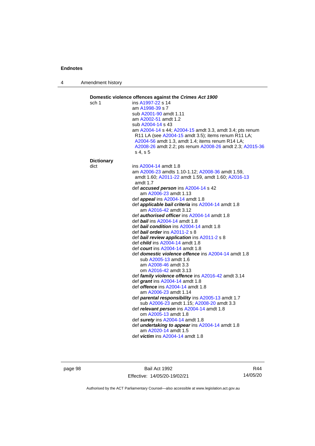4 Amendment history

| Domestic violence offences against the Crimes Act 1900<br>sch 1 | ins A1997-22 s 14                                                                                                                                                               |
|-----------------------------------------------------------------|---------------------------------------------------------------------------------------------------------------------------------------------------------------------------------|
|                                                                 | am A1998-39 s 7                                                                                                                                                                 |
|                                                                 | sub A2001-90 amdt 1.11                                                                                                                                                          |
|                                                                 | am A2002-51 amdt 1.2                                                                                                                                                            |
|                                                                 | sub A2004-14 s 43                                                                                                                                                               |
|                                                                 | am A2004-14 s 44; A2004-15 amdt 3.3, amdt 3.4; pts renum                                                                                                                        |
|                                                                 | R11 LA (see A2004-15 amdt 3.5); items renum R11 LA;<br>A2004-56 amdt 1.3, amdt 1.4; items renum R14 LA;<br>A2008-26 amdt 2.2; pts renum A2008-26 amdt 2.3; A2015-36<br>s 4. s 5 |
| <b>Dictionary</b>                                               |                                                                                                                                                                                 |
| dict                                                            | ins A2004-14 amdt 1.8                                                                                                                                                           |
|                                                                 | am A2006-23 amdts 1.10-1.12; A2008-36 amdt 1.59,                                                                                                                                |
|                                                                 | amdt 1.60; A2011-22 amdt 1.59, amdt 1.60; A2016-13                                                                                                                              |
|                                                                 | amdt 1.7                                                                                                                                                                        |
|                                                                 | def accused person ins A2004-14 s 42                                                                                                                                            |
|                                                                 | am A2006-23 amdt 1.13<br>def <i>appeal</i> ins A2004-14 amdt 1.8                                                                                                                |
|                                                                 | def applicable bail criteria ins A2004-14 amdt 1.8                                                                                                                              |
|                                                                 | am A2016-42 amdt 3.12                                                                                                                                                           |
|                                                                 | def <b>authorised officer</b> ins A2004-14 amdt 1.8                                                                                                                             |
|                                                                 | def <b>bail</b> ins A2004-14 amdt 1.8                                                                                                                                           |
|                                                                 | def <b>bail condition</b> ins A2004-14 amdt 1.8                                                                                                                                 |
|                                                                 | def <b>bail order</b> ins $A2011 - 2 s 8$                                                                                                                                       |
|                                                                 | def bail review application ins A2011-2 s 8                                                                                                                                     |
|                                                                 | def <i>child</i> ins A2004-14 amdt 1.8                                                                                                                                          |
|                                                                 | def court ins $A2004-14$ amdt 1.8                                                                                                                                               |
|                                                                 | def domestic violence offence ins A2004-14 amdt 1.8                                                                                                                             |
|                                                                 | sub A2005-13 amdt 1.6<br>am A2008-46 amdt 3.3                                                                                                                                   |
|                                                                 | om A2016-42 amdt 3.13                                                                                                                                                           |
|                                                                 | def family violence offence ins A2016-42 amdt 3.14                                                                                                                              |
|                                                                 | def grant ins A2004-14 amdt 1.8                                                                                                                                                 |
|                                                                 | def <i>offence</i> ins $A2004-14$ amdt 1.8                                                                                                                                      |
|                                                                 | am A2006-23 amdt 1.14                                                                                                                                                           |
|                                                                 | def parental responsibility ins A2005-13 amdt 1.7                                                                                                                               |
|                                                                 | sub A2006-23 amdt 1.15; A2008-20 amdt 3.3                                                                                                                                       |
|                                                                 | def relevant person ins A2004-14 amdt 1.8                                                                                                                                       |
|                                                                 | om A2005-13 amdt 1.8                                                                                                                                                            |
|                                                                 | def surety ins A2004-14 amdt 1.8                                                                                                                                                |
|                                                                 | def <i>undertaking to appear</i> ins A2004-14 amdt 1.8                                                                                                                          |
|                                                                 | am A2020-14 amdt 1.5                                                                                                                                                            |
|                                                                 | def <i>victim</i> ins A2004-14 amdt 1.8                                                                                                                                         |

page 98 Bail Act 1992 Effective: 14/05/20-19/02/21

R44 14/05/20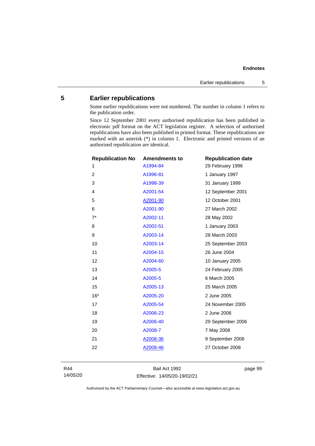### **5 Earlier republications**

Some earlier republications were not numbered. The number in column 1 refers to the publication order.

Since 12 September 2001 every authorised republication has been published in electronic pdf format on the ACT legislation register. A selection of authorised republications have also been published in printed format. These republications are marked with an asterisk (\*) in column 1. Electronic and printed versions of an authorised republication are identical.

| <b>Republication No</b><br>1 | <b>Amendments to</b><br>A1994-84 | <b>Republication date</b><br>29 February 1996 |
|------------------------------|----------------------------------|-----------------------------------------------|
|                              |                                  |                                               |
| 2                            | A1996-81                         | 1 January 1997                                |
| 3                            | A1998-39                         | 31 January 1999                               |
| 4                            | A2001-54                         | 12 September 2001                             |
| 5                            | A2001-90                         | 12 October 2001                               |
| 6                            | A2001-90                         | 27 March 2002                                 |
| $7^*$                        | A2002-11                         | 28 May 2002                                   |
| 8                            | A2002-51                         | 1 January 2003                                |
| 9                            | A2003-14                         | 28 March 2003                                 |
| 10                           | A2003-14                         | 25 September 2003                             |
| 11                           | A2004-15                         | 26 June 2004                                  |
| 12                           | A2004-60                         | 10 January 2005                               |
| 13                           | A2005-5                          | 24 February 2005                              |
| 14                           | A2005-5                          | 6 March 2005                                  |
| 15                           | A2005-13                         | 25 March 2005                                 |
| $16*$                        | A2005-20                         | 2 June 2005                                   |
| 17                           | A2005-54                         | 24 November 2005                              |
| 18                           | A2006-23                         | 2 June 2006                                   |
| 19                           | A2006-40                         | 29 September 2006                             |
| 20                           | A2008-7                          | 7 May 2008                                    |
| 21                           | A2008-36                         | 9 September 2008                              |
| 22                           | A2008-46                         | 27 October 2008                               |
|                              |                                  |                                               |

R44 14/05/20

Bail Act 1992 Effective: 14/05/20-19/02/21 page 99